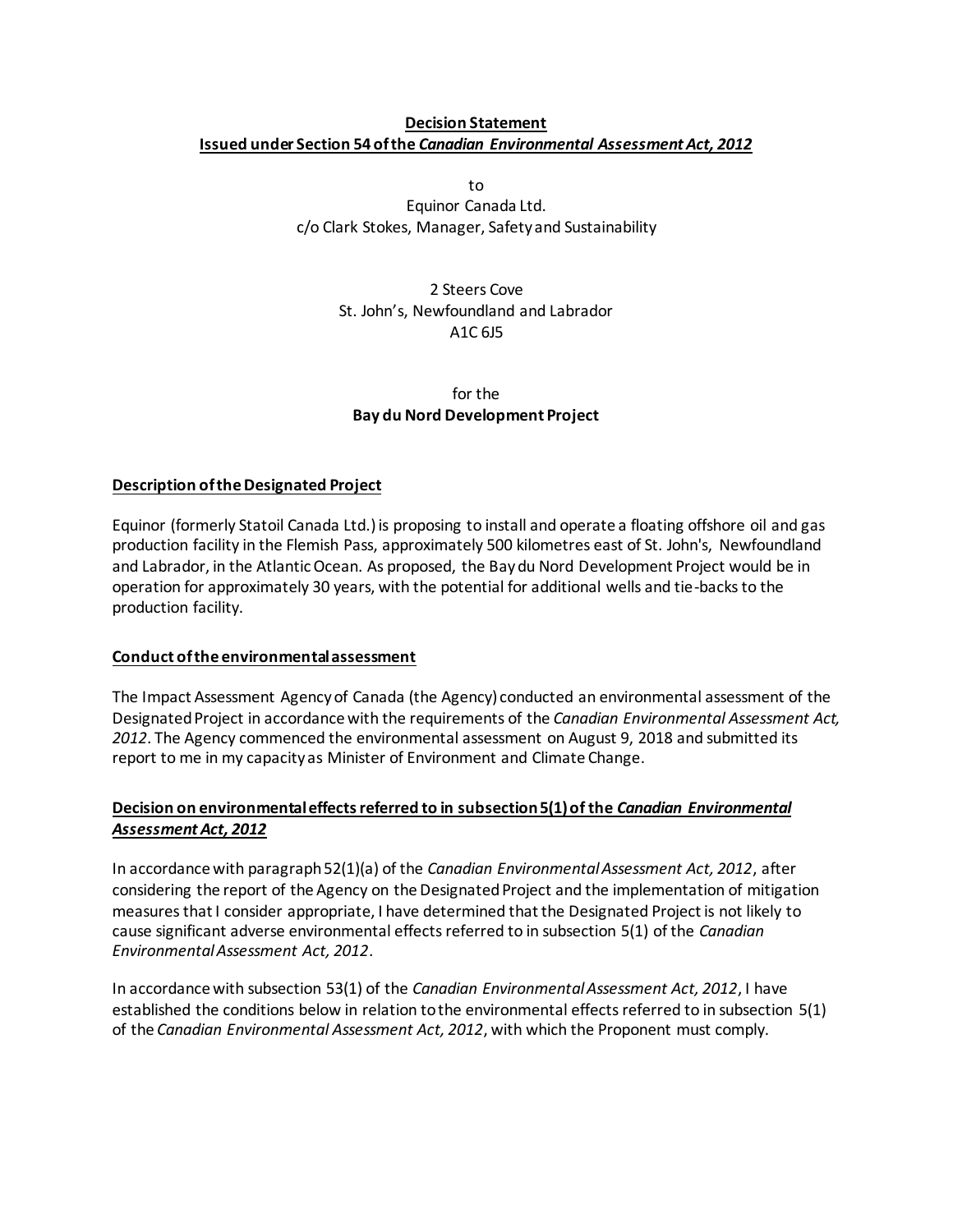## **Decision Statement Issued under Section 54 of the** *Canadian Environmental Assessment Act, 2012*

to

Equinor Canada Ltd. c/o Clark Stokes, Manager, Safety and Sustainability

# 2 Steers Cove St. John's, Newfoundland and Labrador A1C 6J5

## for the **Bay du Nord Development Project**

# **Description of the Designated Project**

Equinor (formerly Statoil Canada Ltd.) is proposing to install and operate a floating offshore oil and gas production facility in the Flemish Pass, approximately 500 kilometres east of St. John's, Newfoundland and Labrador, in the Atlantic Ocean. As proposed, the Bay du Nord Development Project would be in operation for approximately 30 years, with the potential for additional wells and tie-backs to the production facility.

# **Conduct of the environmental assessment**

The Impact Assessment Agencyof Canada (the Agency) conducted an environmental assessment of the Designated Project in accordance with the requirements of the *Canadian Environmental Assessment Act, 2012*. The Agency commenced the environmental assessment on August 9, 2018 and submitted its report to me in my capacity as Minister of Environment and Climate Change.

# **Decision on environmental effects referred to in subsection 5(1) of the** *Canadian Environmental Assessment Act, 2012*

In accordance with paragraph 52(1)(a) of the *Canadian Environmental Assessment Act, 2012*, after considering the report of the Agency on the Designated Project and the implementation of mitigation measures that I consider appropriate, I have determined that the Designated Project is not likely to cause significant adverse environmental effects referred to in subsection 5(1) of the *Canadian Environmental Assessment Act, 2012*.

In accordance with subsection 53(1) of the *Canadian Environmental Assessment Act, 2012*, I have established the conditions below in relation to the environmental effects referred to in subsection 5(1) of the *Canadian Environmental Assessment Act, 2012*, with which the Proponent must comply.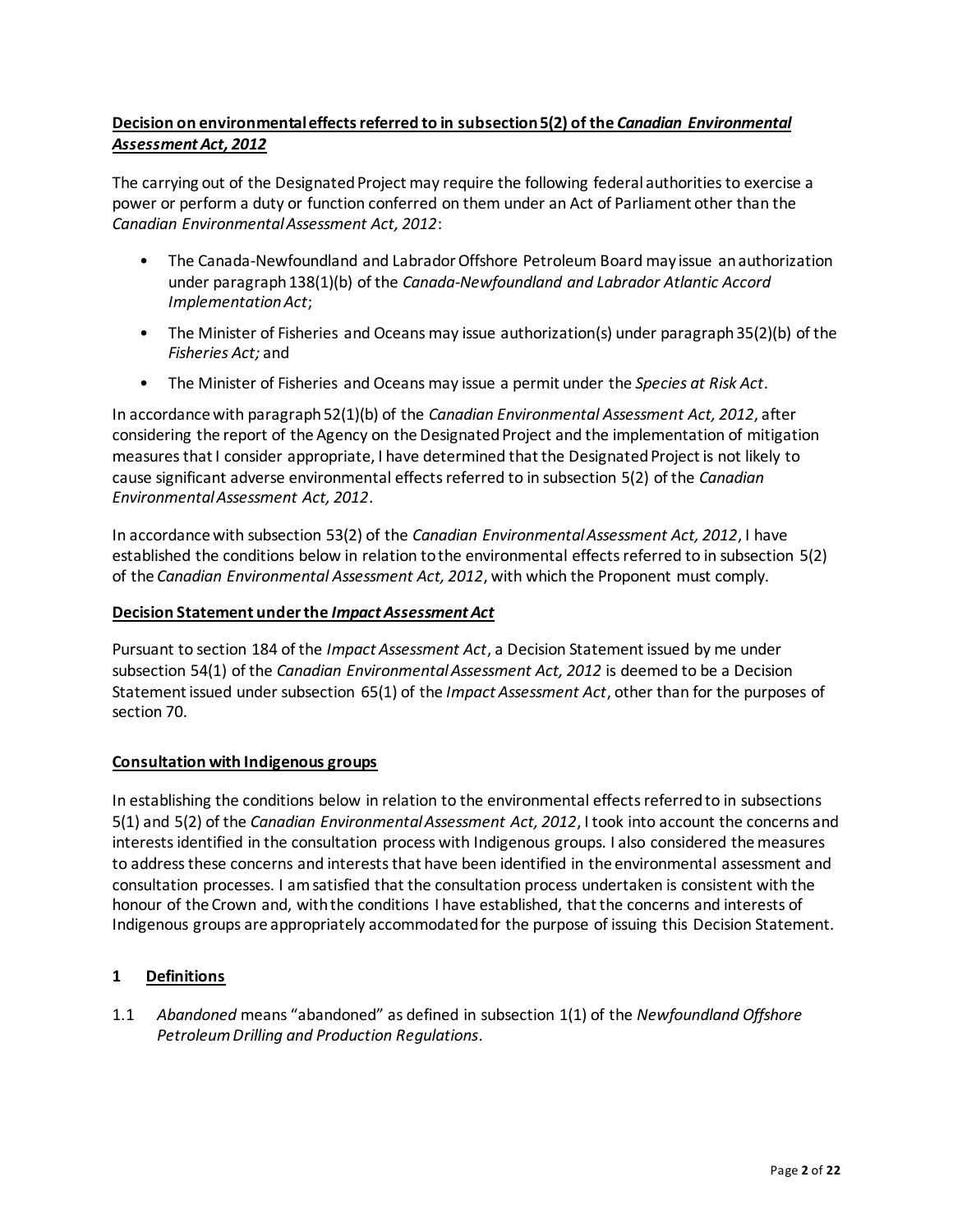# **Decision on environmental effects referred to in subsection 5(2) of the** *Canadian Environmental Assessment Act, 2012*

The carrying out of the Designated Project may require the following federal authorities to exercise a power or perform a duty or function conferred on them under an Act of Parliament other than the *Canadian Environmental Assessment Act, 2012*:

- The Canada-Newfoundland and Labrador Offshore Petroleum Board may issue an authorization under paragraph 138(1)(b) of the *Canada-Newfoundland and Labrador Atlantic Accord Implementation Act*;
- The Minister of Fisheries and Oceans may issue authorization(s) under paragraph 35(2)(b) of the *Fisheries Act;* and
- The Minister of Fisheries and Oceans may issue a permit under the *Species at Risk Act*.

In accordance with paragraph 52(1)(b) of the *Canadian Environmental Assessment Act, 2012*, after considering the report of the Agency on the Designated Project and the implementation of mitigation measures that I consider appropriate, I have determined that the Designated Project is not likely to cause significant adverse environmental effects referred to in subsection 5(2) of the *Canadian Environmental Assessment Act, 2012*.

In accordance with subsection 53(2) of the *Canadian Environmental Assessment Act, 2012*, I have established the conditions below in relation to the environmental effects referred to in subsection 5(2) of the *Canadian Environmental Assessment Act, 2012*, with which the Proponent must comply.

### **Decision Statement under the** *Impact Assessment Act*

Pursuant to section 184 of the *Impact Assessment Act*, a Decision Statement issued by me under subsection 54(1) of the *Canadian Environmental Assessment Act, 2012* is deemed to be a Decision Statement issued under subsection 65(1) of the *Impact Assessment Act*, other than for the purposes of section 70.

### **Consultation with Indigenous groups**

In establishing the conditions below in relation to the environmental effects referred to in subsections 5(1) and 5(2) of the *Canadian Environmental Assessment Act, 2012*, I took into account the concerns and interests identified in the consultation process with Indigenous groups. I also considered the measures to address these concerns and interests that have been identified in the environmental assessment and consultation processes. I am satisfied that the consultation process undertaken is consistent with the honour of the Crown and, with the conditions I have established, that the concerns and interests of Indigenous groups are appropriately accommodated for the purpose of issuing this Decision Statement.

### **1 Definitions**

1.1 *Abandoned* means "abandoned" as defined in subsection 1(1) of the *Newfoundland Offshore Petroleum Drilling and Production Regulations*.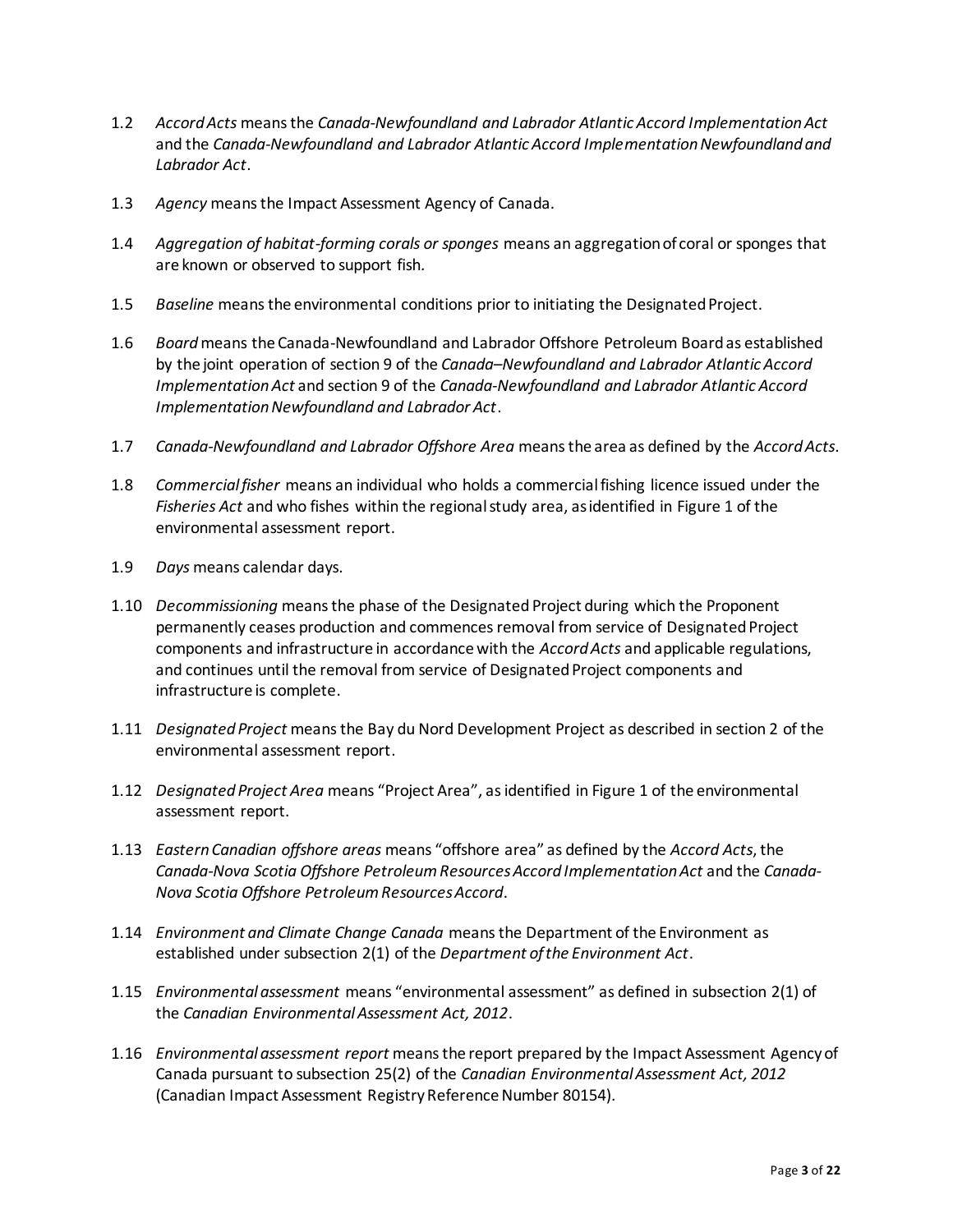- 1.2 *Accord Acts* means the *Canada-Newfoundland and Labrador Atlantic Accord Implementation Act* and the *Canada-Newfoundland and Labrador Atlantic Accord Implementation Newfoundland and Labrador Act*.
- 1.3 *Agency* means the Impact Assessment Agency of Canada*.*
- 1.4 *Aggregation of habitat-forming corals or sponges* means an aggregation of coral or sponges that are known or observed to support fish*.*
- 1.5 *Baseline* means the environmental conditions prior to initiating the Designated Project.
- 1.6 *Board* means the Canada-Newfoundland and Labrador Offshore Petroleum Board as established by the joint operation of section 9 of the *Canada–Newfoundland and Labrador Atlantic Accord Implementation Act* and section 9 of the *Canada-Newfoundland and Labrador Atlantic Accord Implementation Newfoundland and Labrador Act*.
- 1.7 *Canada-Newfoundland and Labrador Offshore Area* means the area as defined by the *Accord Acts*.
- 1.8 *Commercial fisher* means an individual who holds a commercial fishing licence issued under the *Fisheries Act* and who fishes within the regional study area, as identified in Figure 1 of the environmental assessment report.
- 1.9 *Days* means calendar days.
- 1.10 *Decommissioning* means the phase of the Designated Project during which the Proponent permanently ceases production and commences removal from service of Designated Project components and infrastructure in accordance with the *Accord Acts* and applicable regulations, and continues until the removal from service of Designated Project components and infrastructure is complete.
- 1.11 *Designated Project* means the Bay du Nord Development Project as described in section 2 of the environmental assessment report.
- 1.12 *Designated Project Area* means "Project Area", as identified in Figure 1 of the environmental assessment report.
- 1.13 *Eastern Canadian offshore areas* means "offshore area" as defined by the *Accord Acts*, the *Canada-Nova Scotia Offshore Petroleum Resources Accord Implementation Act* and the *Canada-Nova Scotia Offshore Petroleum Resources Accord*.
- 1.14 *Environment and Climate Change Canada* means the Department of the Environment as established under subsection 2(1) of the *Department of the Environment Act*.
- 1.15 *Environmental assessment* means "environmental assessment" as defined in subsection 2(1) of the *Canadian Environmental Assessment Act, 2012*.
- 1.16 *Environmental assessment report* means the report prepared by the Impact Assessment Agency of Canada pursuant to subsection 25(2) of the *Canadian Environmental Assessment Act, 2012* (Canadian Impact Assessment Registry Reference Number 80154).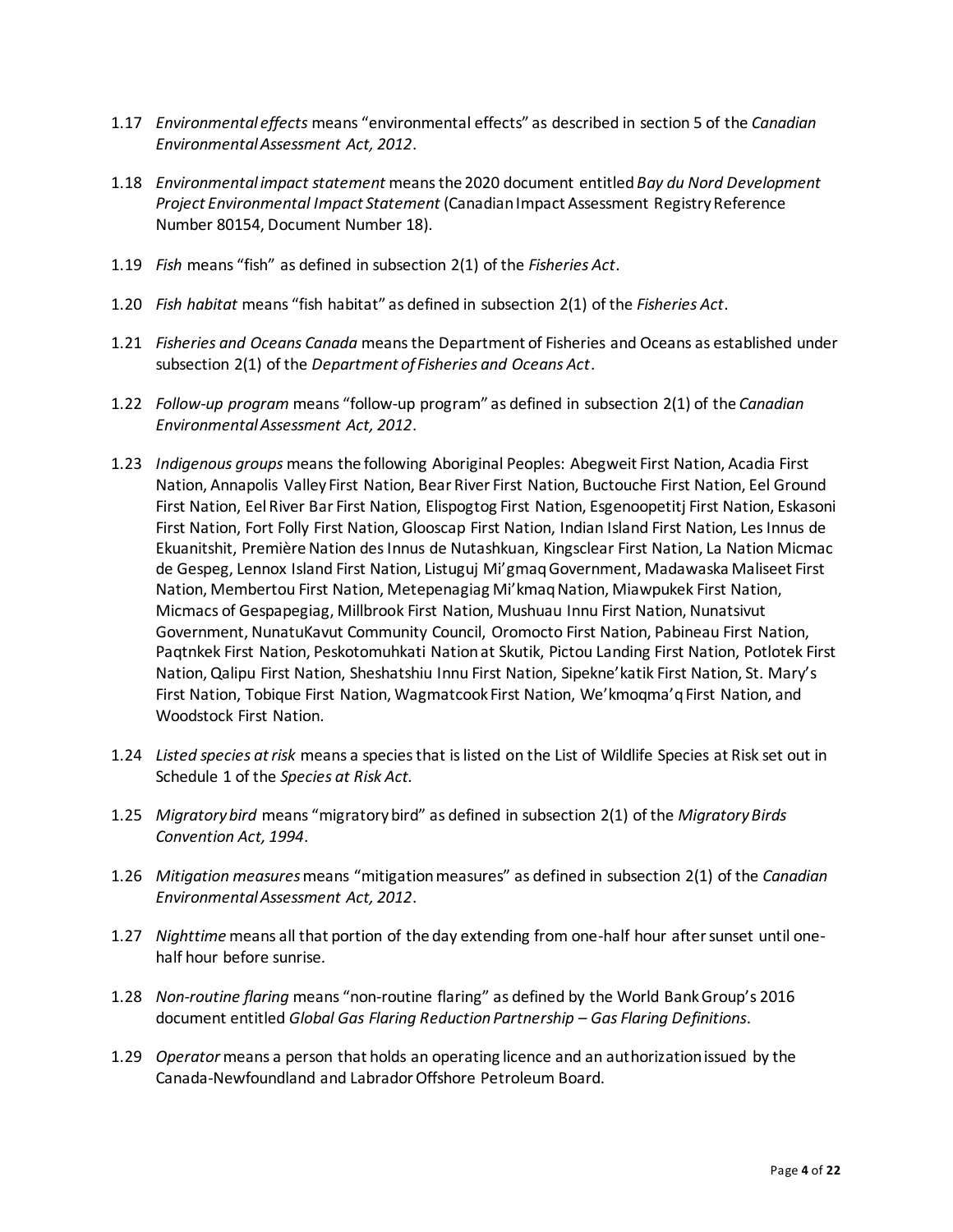- 1.17 *Environmental effects* means "environmental effects" as described in section 5 of the *Canadian Environmental Assessment Act, 2012*.
- 1.18 *Environmental impact statement* means the 2020 document entitled *Bay du Nord Development Project Environmental Impact Statement* (Canadian Impact Assessment Registry Reference Number 80154, Document Number 18).
- 1.19 *Fish* means "fish" as defined in subsection 2(1) of the *Fisheries Act*.
- 1.20 *Fish habitat* means "fish habitat" as defined in subsection 2(1) of the *Fisheries Act*.
- 1.21 *Fisheries and Oceans Canada* means the Department of Fisheries and Oceans as established under subsection 2(1) of the *Department of Fisheries and Oceans Act*.
- 1.22 *Follow-up program* means "follow-up program" as defined in subsection 2(1) of the *Canadian Environmental Assessment Act, 2012*.
- 1.23 *Indigenous groups* means the following Aboriginal Peoples: Abegweit First Nation, Acadia First Nation, Annapolis Valley First Nation, Bear River First Nation, Buctouche First Nation, Eel Ground First Nation, Eel River Bar First Nation, Elispogtog First Nation, Esgenoopetitj First Nation, Eskasoni First Nation, Fort Folly First Nation, Glooscap First Nation, Indian Island First Nation, Les Innus de Ekuanitshit, Première Nation des Innus de Nutashkuan, Kingsclear First Nation, La Nation Micmac de Gespeg, Lennox Island First Nation, Listuguj Mi'gmaq Government, Madawaska Maliseet First Nation, Membertou First Nation, Metepenagiag Mi'kmaq Nation, Miawpukek First Nation, Micmacs of Gespapegiag, Millbrook First Nation, Mushuau Innu First Nation, Nunatsivut Government, NunatuKavut Community Council, Oromocto First Nation, Pabineau First Nation, Paqtnkek First Nation, Peskotomuhkati Nation at Skutik, Pictou Landing First Nation, Potlotek First Nation, Qalipu First Nation, Sheshatshiu Innu First Nation, Sipekne'katik First Nation, St. Mary's First Nation, Tobique First Nation, Wagmatcook First Nation, We'kmoqma'q First Nation, and Woodstock First Nation.
- 1.24 *Listed species at risk* means a species that is listed on the List of Wildlife Species at Risk set out in Schedule 1 of the *Species at Risk Act.*
- 1.25 *Migratory bird* means "migratory bird" as defined in subsection 2(1) of the *Migratory Birds Convention Act, 1994*.
- 1.26 *Mitigation measures*means "mitigation measures" as defined in subsection 2(1) of the *Canadian Environmental Assessment Act, 2012*.
- 1.27 *Nighttime* means all that portion of the day extending from one-half hour after sunset until onehalf hour before sunrise.
- 1.28 *Non-routine flaring* means "non-routine flaring" as defined by the World Bank Group's 2016 document entitled *Global Gas Flaring Reduction Partnership – Gas Flaring Definitions*.
- 1.29 *Operator* means a person that holds an operating licence and an authorization issued by the Canada-Newfoundland and Labrador Offshore Petroleum Board.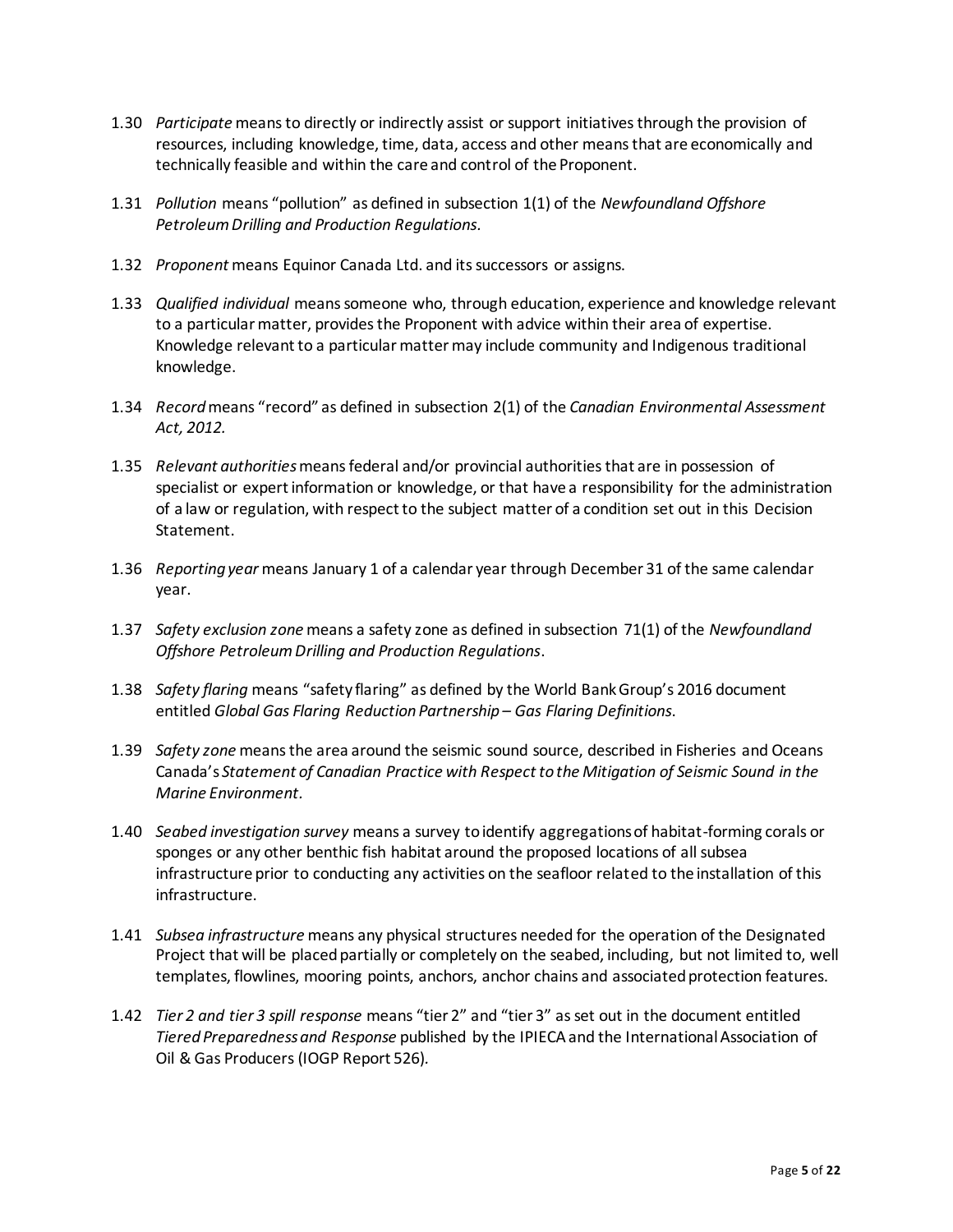- 1.30 *Participate* means to directly or indirectly assist or support initiatives through the provision of resources, including knowledge, time, data, access and other means that are economically and technically feasible and within the care and control of the Proponent.
- 1.31 *Pollution* means "pollution" as defined in subsection 1(1) of the *Newfoundland Offshore Petroleum Drilling and Production Regulations.*
- 1.32 *Proponent* means Equinor Canada Ltd. and its successors or assigns.
- 1.33 *Qualified individual* means someone who, through education, experience and knowledge relevant to a particular matter, provides the Proponent with advice within their area of expertise. Knowledge relevant to a particular matter may include community and Indigenous traditional knowledge.
- 1.34 *Record* means "record" as defined in subsection 2(1) of the *Canadian Environmental Assessment Act, 2012.*
- 1.35 *Relevant authorities* means federal and/or provincial authorities that are in possession of specialist or expert information or knowledge, or that have a responsibility for the administration of a law or regulation, with respect to the subject matter of a condition set out in this Decision Statement.
- 1.36 *Reporting year* means January 1 of a calendar year through December 31 of the same calendar year.
- 1.37 *Safety exclusion zone* means a safety zone as defined in subsection 71(1) of the *Newfoundland Offshore Petroleum Drilling and Production Regulations*.
- 1.38 *Safety flaring* means "safety flaring" as defined by the World Bank Group's 2016 document entitled *Global Gas Flaring Reduction Partnership – Gas Flaring Definitions*.
- 1.39 *Safety zone* means the area around the seismic sound source, described in Fisheries and Oceans Canada's *Statement of Canadian Practice with Respect to the Mitigation of Seismic Sound in the Marine Environment.*
- 1.40 *Seabed investigation survey* means a survey to identify aggregations of habitat-forming corals or sponges or any other benthic fish habitat around the proposed locations of all subsea infrastructure prior to conducting any activities on the seafloor related to the installation of this infrastructure.
- 1.41 *Subsea infrastructure* means any physical structures needed for the operation of the Designated Project that will be placed partially or completely on the seabed, including, but not limited to, well templates, flowlines, mooring points, anchors, anchor chains and associated protection features.
- 1.42 *Tier 2 and tier 3 spill response* means "tier 2" and "tier 3" as set out in the document entitled *Tiered Preparedness and Response* published by the IPIECAand the International Association of Oil & Gas Producers (IOGP Report 526)*.*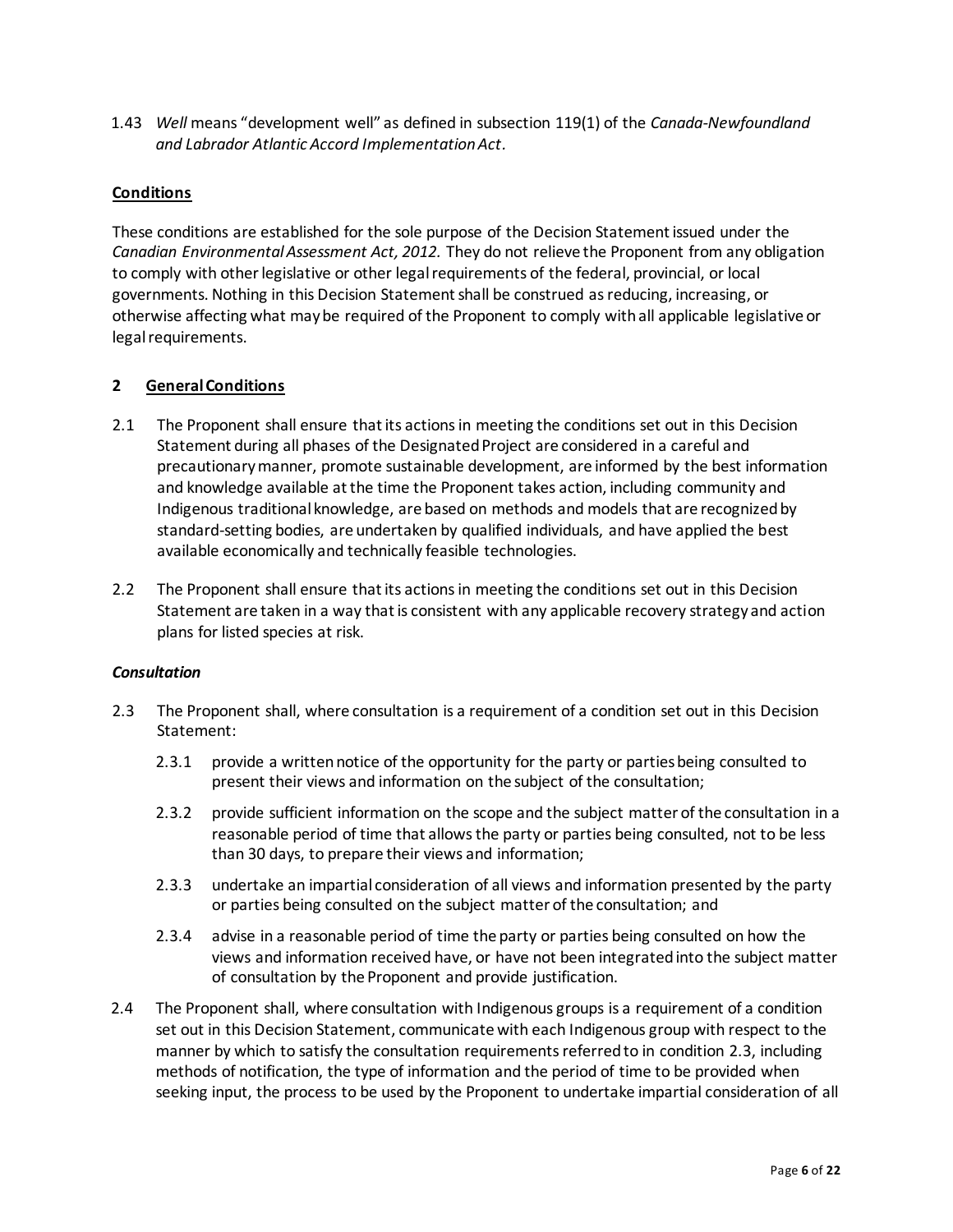1.43 *Well* means "development well" as defined in subsection 119(1) of the *Canada-Newfoundland and Labrador Atlantic Accord Implementation Act.*

## **Conditions**

These conditions are established for the sole purpose of the Decision Statement issued under the *Canadian Environmental Assessment Act, 2012.* They do not relieve the Proponent from any obligation to comply with other legislative or other legal requirements of the federal, provincial, or local governments. Nothing in this Decision Statement shall be construed as reducing, increasing, or otherwise affecting what may be required of the Proponent to comply with all applicable legislative or legal requirements.

### **2 General Conditions**

- 2.1 The Proponent shall ensure that its actions in meeting the conditions set out in this Decision Statement during all phases of the Designated Project are considered in a careful and precautionary manner, promote sustainable development, are informed by the best information and knowledge available at the time the Proponent takes action, including community and Indigenous traditional knowledge, are based on methods and models that are recognized by standard-setting bodies, are undertaken by qualified individuals, and have applied the best available economically and technically feasible technologies.
- 2.2 The Proponent shall ensure that its actions in meeting the conditions set out in this Decision Statement are taken in a way that is consistent with any applicable recovery strategy and action plans for listed species at risk.

### *Consultation*

- 2.3 The Proponent shall, where consultation is a requirement of a condition set out in this Decision Statement:
	- 2.3.1 provide a written notice of the opportunity for the party or parties being consulted to present their views and information on the subject of the consultation;
	- 2.3.2 provide sufficient information on the scope and the subject matter of the consultation in a reasonable period of time that allows the party or parties being consulted, not to be less than 30 days, to prepare their views and information;
	- 2.3.3 undertake an impartial consideration of all views and information presented by the party or parties being consulted on the subject matter of the consultation; and
	- 2.3.4 advise in a reasonable period of time the party or parties being consulted on how the views and information received have, or have not been integrated into the subject matter of consultation by the Proponent and provide justification.
- 2.4 The Proponent shall, where consultation with Indigenous groups is a requirement of a condition set out in this Decision Statement, communicate with each Indigenous group with respect to the manner by which to satisfy the consultation requirements referred to in condition 2.3, including methods of notification, the type of information and the period of time to be provided when seeking input, the process to be used by the Proponent to undertake impartial consideration of all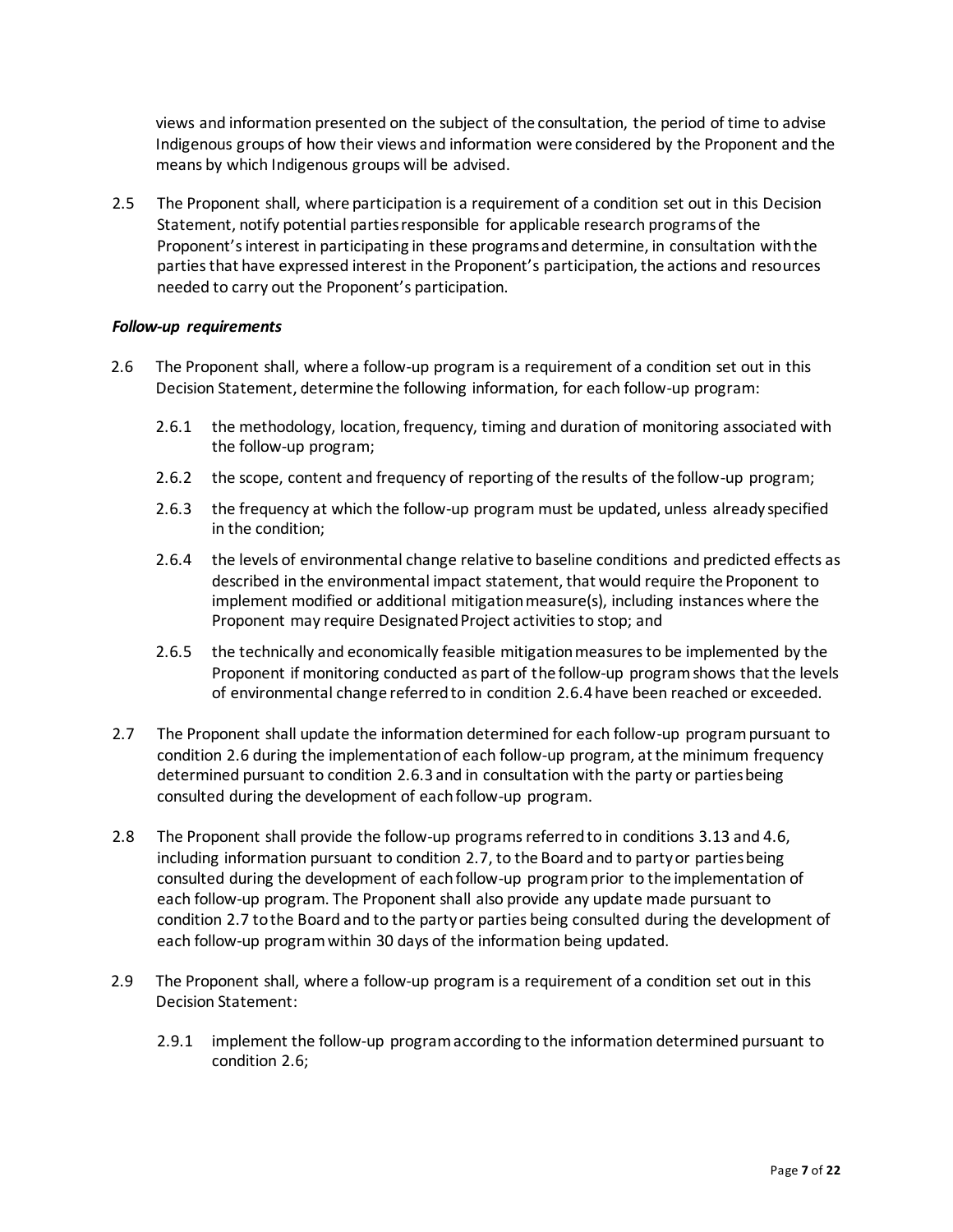views and information presented on the subject of the consultation, the period of time to advise Indigenous groups of how their views and information were considered by the Proponent and the means by which Indigenous groups will be advised.

2.5 The Proponent shall, where participation is a requirement of a condition set out in this Decision Statement, notify potential parties responsible for applicable research programs of the Proponent's interest in participating in these programs and determine, in consultation with the parties that have expressed interest in the Proponent's participation, the actions and resources needed to carry out the Proponent's participation.

#### *Follow-up requirements*

- 2.6 The Proponent shall, where a follow-up program is a requirement of a condition set out in this Decision Statement, determine the following information, for each follow-up program:
	- 2.6.1 the methodology, location, frequency, timing and duration of monitoring associated with the follow-up program;
	- 2.6.2 the scope, content and frequency of reporting of the results of the follow-up program;
	- 2.6.3 the frequency at which the follow-up program must be updated, unless already specified in the condition;
	- 2.6.4 the levels of environmental change relative to baseline conditions and predicted effects as described in the environmental impact statement, that would require the Proponent to implement modified or additional mitigation measure(s), including instances where the Proponent may require Designated Project activities to stop; and
	- 2.6.5 the technically and economically feasible mitigation measures to be implemented by the Proponent if monitoring conducted as part of the follow-up program shows that the levels of environmental change referred to in condition 2.6.4 have been reached or exceeded.
- 2.7 The Proponent shall update the information determined for each follow-up program pursuant to condition 2.6 during the implementation of each follow-up program, at the minimum frequency determined pursuant to condition 2.6.3 and in consultation with the party or parties being consulted during the development of each follow-up program.
- 2.8 The Proponent shall provide the follow-up programs referred to in conditions 3.13 and 4.6, including information pursuant to condition 2.7, to the Board and to party or parties being consulted during the development of each follow-up program prior to the implementation of each follow-up program. The Proponent shall also provide any update made pursuant to condition 2.7 to the Board and to the party or parties being consulted during the development of each follow-up program within 30 days of the information being updated.
- 2.9 The Proponent shall, where a follow-up program is a requirement of a condition set out in this Decision Statement:
	- 2.9.1 implement the follow-up program according to the information determined pursuant to condition 2.6;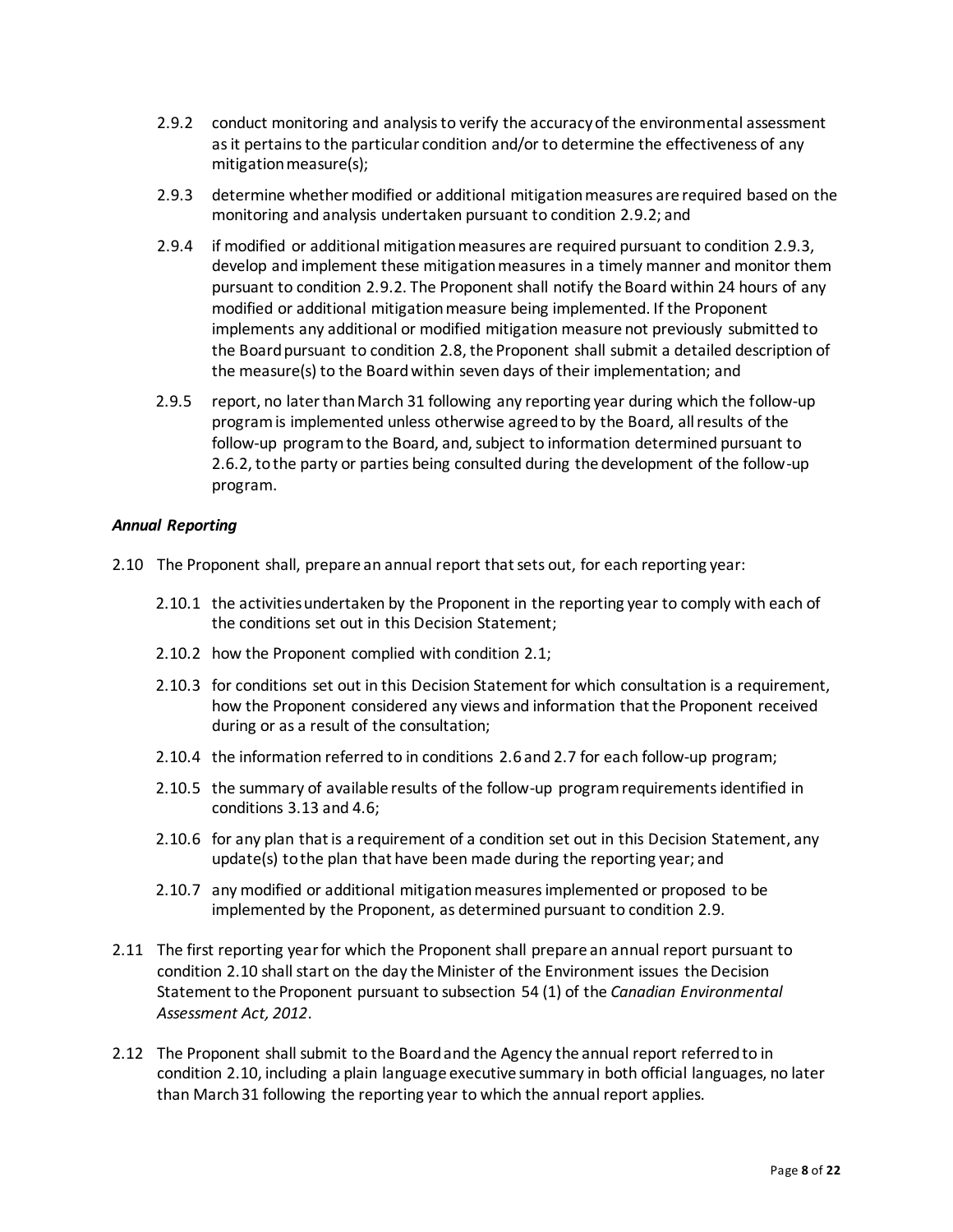- 2.9.2 conduct monitoring and analysis to verify the accuracy of the environmental assessment as it pertains to the particular condition and/or to determine the effectiveness of any mitigation measure(s);
- 2.9.3 determine whether modified or additional mitigation measures are required based on the monitoring and analysis undertaken pursuant to condition 2.9.2; and
- 2.9.4 if modified or additional mitigation measures are required pursuant to condition 2.9.3, develop and implement these mitigation measures in a timely manner and monitor them pursuant to condition 2.9.2. The Proponent shall notify the Board within 24 hours of any modified or additional mitigation measure being implemented. If the Proponent implements any additional or modified mitigation measure not previously submitted to the Board pursuant to condition 2.8, the Proponent shall submit a detailed description of the measure(s) to the Board within seven days of their implementation; and
- 2.9.5 report, no later than March 31 following any reporting year during which the follow-up program is implemented unless otherwise agreed to by the Board, all results of the follow-up program to the Board, and, subject to information determined pursuant to 2.6.2, to the party or parties being consulted during the development of the follow-up program.

#### *Annual Reporting*

- 2.10 The Proponent shall, prepare an annual report that sets out, for each reporting year:
	- 2.10.1 the activities undertaken by the Proponent in the reporting year to comply with each of the conditions set out in this Decision Statement;
	- 2.10.2 how the Proponent complied with condition 2.1;
	- 2.10.3 for conditions set out in this Decision Statement for which consultation is a requirement, how the Proponent considered any views and information that the Proponent received during or as a result of the consultation;
	- 2.10.4 the information referred to in conditions 2.6 and 2.7 for each follow-up program;
	- 2.10.5 the summary of available results of the follow-up program requirements identified in conditions 3.13 and 4.6;
	- 2.10.6 for any plan that is a requirement of a condition set out in this Decision Statement, any update(s) to the plan that have been made during the reporting year; and
	- 2.10.7 any modified or additional mitigation measures implemented or proposed to be implemented by the Proponent, as determined pursuant to condition 2.9.
- 2.11 The first reporting year for which the Proponent shall prepare an annual report pursuant to condition 2.10 shall start on the day the Minister of the Environment issues the Decision Statement to the Proponent pursuant to subsection 54 (1) of the *Canadian Environmental Assessment Act, 2012*.
- 2.12 The Proponent shall submit to the Board and the Agency the annual report referred to in condition 2.10, including a plain language executive summary in both official languages, no later than March 31 following the reporting year to which the annual report applies.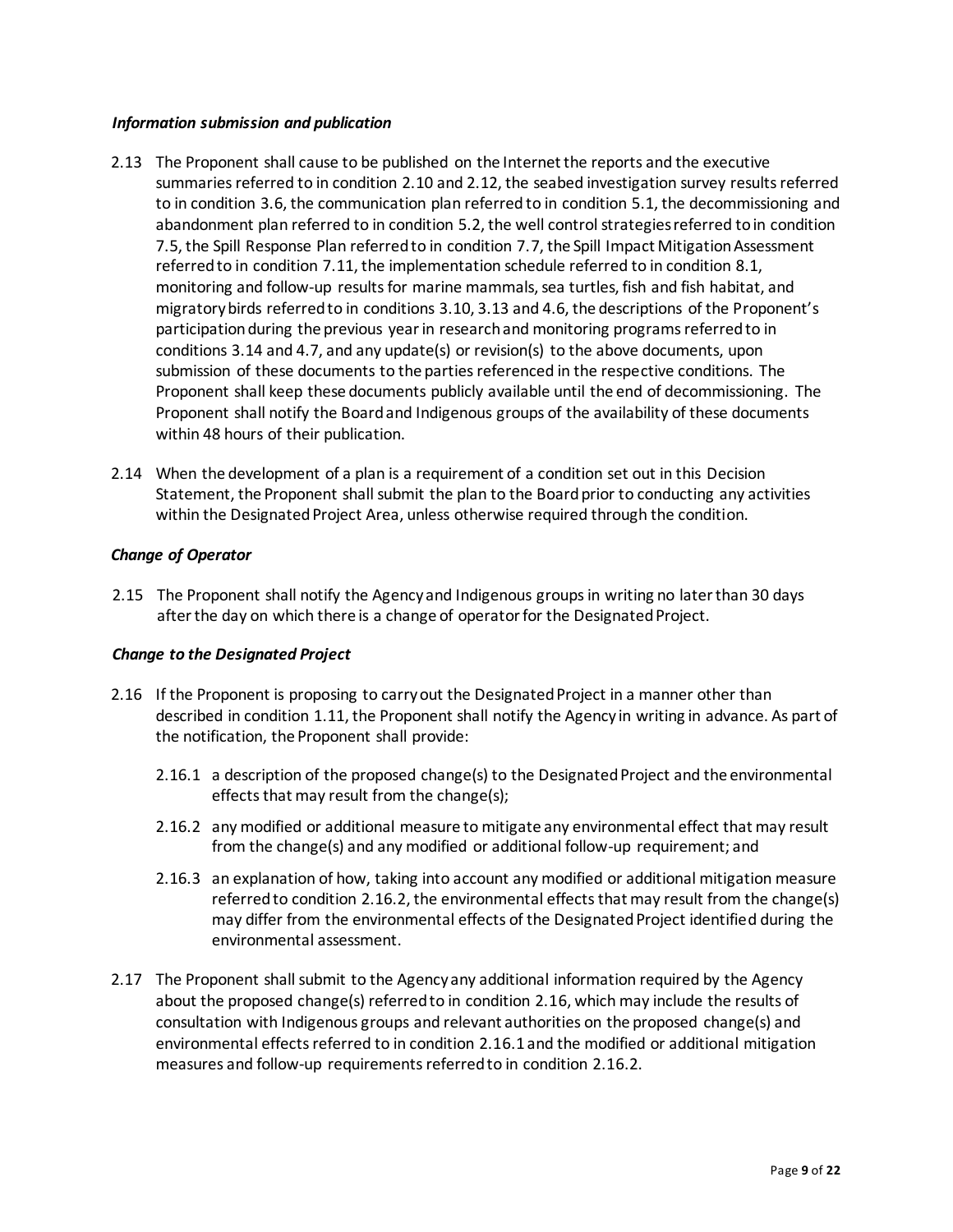#### *Information submission and publication*

- 2.13 The Proponent shall cause to be published on the Internet the reports and the executive summaries referred to in condition 2.10 and 2.12, the seabed investigation survey results referred to in condition 3.6, the communication plan referred to in condition 5.1, the decommissioning and abandonment plan referred to in condition 5.2, the well control strategies referred to in condition 7.5, the Spill Response Plan referred to in condition 7.7, the Spill Impact Mitigation Assessment referred to in condition 7.11, the implementation schedule referred to in condition 8.1, monitoring and follow-up results for marine mammals, sea turtles, fish and fish habitat, and migratory birds referred to in conditions 3.10, 3.13 and 4.6, the descriptions of the Proponent's participation during the previous year in research and monitoring programs referred to in conditions 3.14 and 4.7, and any update(s) or revision(s) to the above documents, upon submission of these documents to the parties referenced in the respective conditions. The Proponent shall keep these documents publicly available until the end of decommissioning. The Proponent shall notify the Board and Indigenous groups of the availability of these documents within 48 hours of their publication.
- 2.14 When the development of a plan is a requirement of a condition set out in this Decision Statement, the Proponent shall submit the plan to the Board prior to conducting any activities within the Designated Project Area, unless otherwise required through the condition.

## *Change of Operator*

2.15 The Proponent shall notify the Agency and Indigenous groups in writing no later than 30 days after the day on which there is a change of operator for the Designated Project.

# *Change to the Designated Project*

- 2.16 If the Proponent is proposing to carry out the Designated Project in a manner other than described in condition 1.11, the Proponent shall notify the Agency in writing in advance. As part of the notification, the Proponent shall provide:
	- 2.16.1 a description of the proposed change(s) to the Designated Project and the environmental effects that may result from the change(s);
	- 2.16.2 any modified or additional measure to mitigate any environmental effect that may result from the change(s) and any modified or additional follow-up requirement; and
	- 2.16.3 an explanation of how, taking into account any modified or additional mitigation measure referred to condition 2.16.2, the environmental effects that may result from the change(s) may differ from the environmental effects of the Designated Project identified during the environmental assessment.
- 2.17 The Proponent shall submit to the Agency any additional information required by the Agency about the proposed change(s) referred to in condition 2.16, which may include the results of consultation with Indigenous groups and relevant authorities on the proposed change(s) and environmental effects referred to in condition 2.16.1 and the modified or additional mitigation measures and follow-up requirements referred to in condition 2.16.2.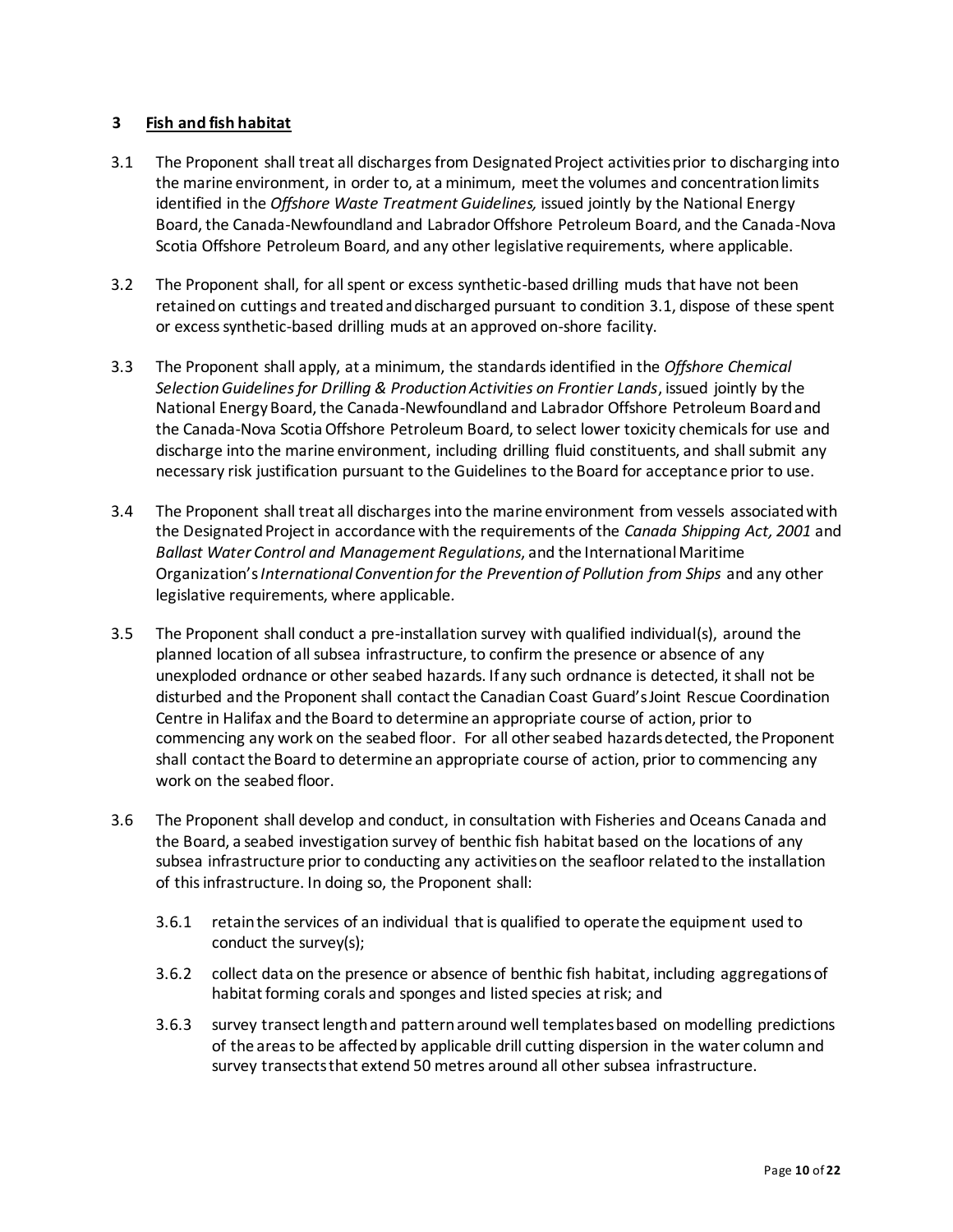### **3 Fish and fish habitat**

- 3.1 The Proponent shall treat all discharges from Designated Project activities prior to discharging into the marine environment, in order to, at a minimum, meet the volumes and concentration limits identified in the *Offshore Waste Treatment Guidelines,* issued jointly by the National Energy Board, the Canada-Newfoundland and Labrador Offshore Petroleum Board, and the Canada-Nova Scotia Offshore Petroleum Board, and any other legislative requirements, where applicable.
- 3.2 The Proponent shall, for all spent or excess synthetic-based drilling muds that have not been retained on cuttings and treated and discharged pursuant to condition 3.1, dispose of these spent or excess synthetic-based drilling muds at an approved on-shore facility.
- 3.3 The Proponent shall apply, at a minimum, the standards identified in the *Offshore Chemical Selection Guidelines for Drilling & Production Activities on Frontier Lands*, issued jointly by the National Energy Board, the Canada-Newfoundland and Labrador Offshore Petroleum Board and the Canada-Nova Scotia Offshore Petroleum Board, to select lower toxicity chemicals for use and discharge into the marine environment, including drilling fluid constituents, and shall submit any necessary risk justification pursuant to the Guidelines to the Board for acceptance prior to use.
- 3.4 The Proponent shall treat all discharges into the marine environment from vessels associated with the Designated Project in accordance with the requirements of the *Canada Shipping Act, 2001* and *Ballast Water Control and Management Regulations*, and the International Maritime Organization's *International Convention for the Prevention of Pollution from Ships* and any other legislative requirements, where applicable*.*
- 3.5 The Proponent shall conduct a pre-installation survey with qualified individual(s), around the planned location of all subsea infrastructure, to confirm the presence or absence of any unexploded ordnance or other seabed hazards. If any such ordnance is detected, it shall not be disturbed and the Proponent shall contact the Canadian Coast Guard's Joint Rescue Coordination Centre in Halifax and the Board to determine an appropriate course of action, prior to commencing any work on the seabed floor. For all other seabed hazards detected, the Proponent shall contact the Board to determine an appropriate course of action, prior to commencing any work on the seabed floor.
- 3.6 The Proponent shall develop and conduct, in consultation with Fisheries and Oceans Canada and the Board, a seabed investigation survey of benthic fish habitat based on the locations of any subsea infrastructure prior to conducting any activities on the seafloor related to the installation of this infrastructure. In doing so, the Proponent shall:
	- 3.6.1 retain the services of an individual that is qualified to operate the equipment used to conduct the survey(s);
	- 3.6.2 collect data on the presence or absence of benthic fish habitat, including aggregations of habitat forming corals and sponges and listed species at risk; and
	- 3.6.3 survey transect length and pattern around well templates based on modelling predictions of the areas to be affected by applicable drill cutting dispersion in the water column and survey transects that extend 50 metres around all other subsea infrastructure.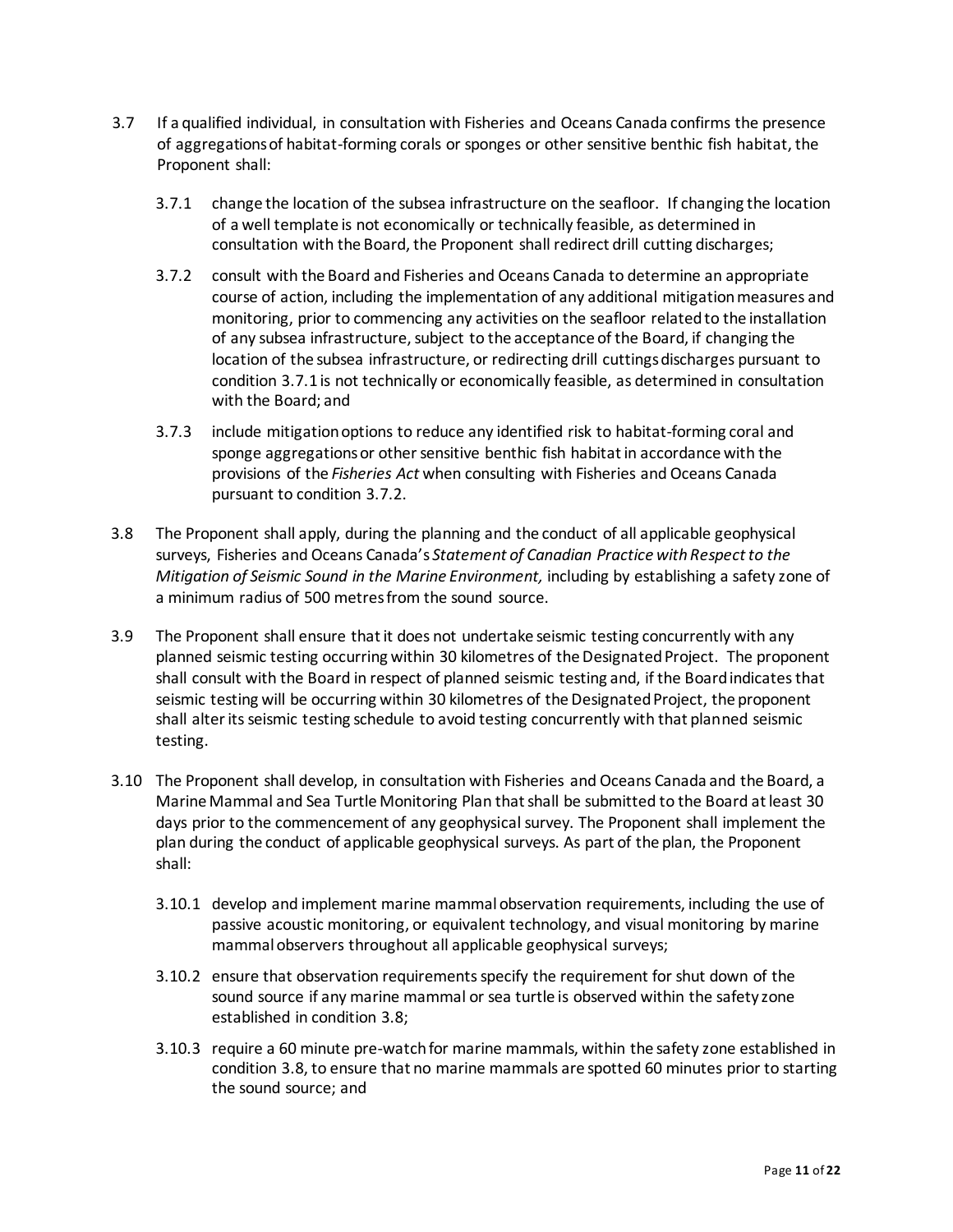- 3.7 If a qualified individual, in consultation with Fisheries and Oceans Canada confirms the presence of aggregations of habitat-forming corals or sponges or other sensitive benthic fish habitat, the Proponent shall:
	- 3.7.1 change the location of the subsea infrastructure on the seafloor. If changing the location of a well template is not economically or technically feasible, as determined in consultation with the Board, the Proponent shall redirect drill cutting discharges;
	- 3.7.2 consult with the Board and Fisheries and Oceans Canada to determine an appropriate course of action, including the implementation of any additional mitigation measures and monitoring, prior to commencing any activities on the seafloor related to the installation of any subsea infrastructure, subject to the acceptance of the Board, if changing the location of the subsea infrastructure, or redirecting drill cuttings discharges pursuant to condition 3.7.1 is not technically or economically feasible, as determined in consultation with the Board; and
	- 3.7.3 include mitigation options to reduce any identified risk to habitat-forming coral and sponge aggregations or other sensitive benthic fish habitat in accordance with the provisions of the *Fisheries Act* when consulting with Fisheries and Oceans Canada pursuant to condition 3.7.2.
- 3.8 The Proponent shall apply, during the planning and the conduct of all applicable geophysical surveys, Fisheries and Oceans Canada's *Statement of Canadian Practice with Respect to the Mitigation of Seismic Sound in the Marine Environment,* including by establishing a safety zone of a minimum radius of 500 metresfrom the sound source.
- 3.9 The Proponent shall ensure that it does not undertake seismic testing concurrently with any planned seismic testing occurring within 30 kilometres of the Designated Project. The proponent shall consult with the Board in respect of planned seismic testing and, if the Board indicates that seismic testing will be occurring within 30 kilometres of the Designated Project, the proponent shall alter its seismic testing schedule to avoid testing concurrently with that planned seismic testing.
- 3.10 The Proponent shall develop, in consultation with Fisheries and Oceans Canada and the Board, a Marine Mammal and Sea Turtle Monitoring Plan that shall be submitted to the Board at least 30 days prior to the commencement of any geophysical survey. The Proponent shall implement the plan during the conduct of applicable geophysical surveys. As part of the plan, the Proponent shall:
	- 3.10.1 develop and implement marine mammal observation requirements, including the use of passive acoustic monitoring, or equivalent technology, and visual monitoring by marine mammal observers throughout all applicable geophysical surveys;
	- 3.10.2 ensure that observation requirements specify the requirement for shut down of the sound source if any marine mammal or sea turtle is observed within the safety zone established in condition 3.8;
	- 3.10.3 require a 60 minute pre-watch for marine mammals, within the safety zone established in condition 3.8, to ensure that no marine mammals are spotted 60 minutes prior to starting the sound source; and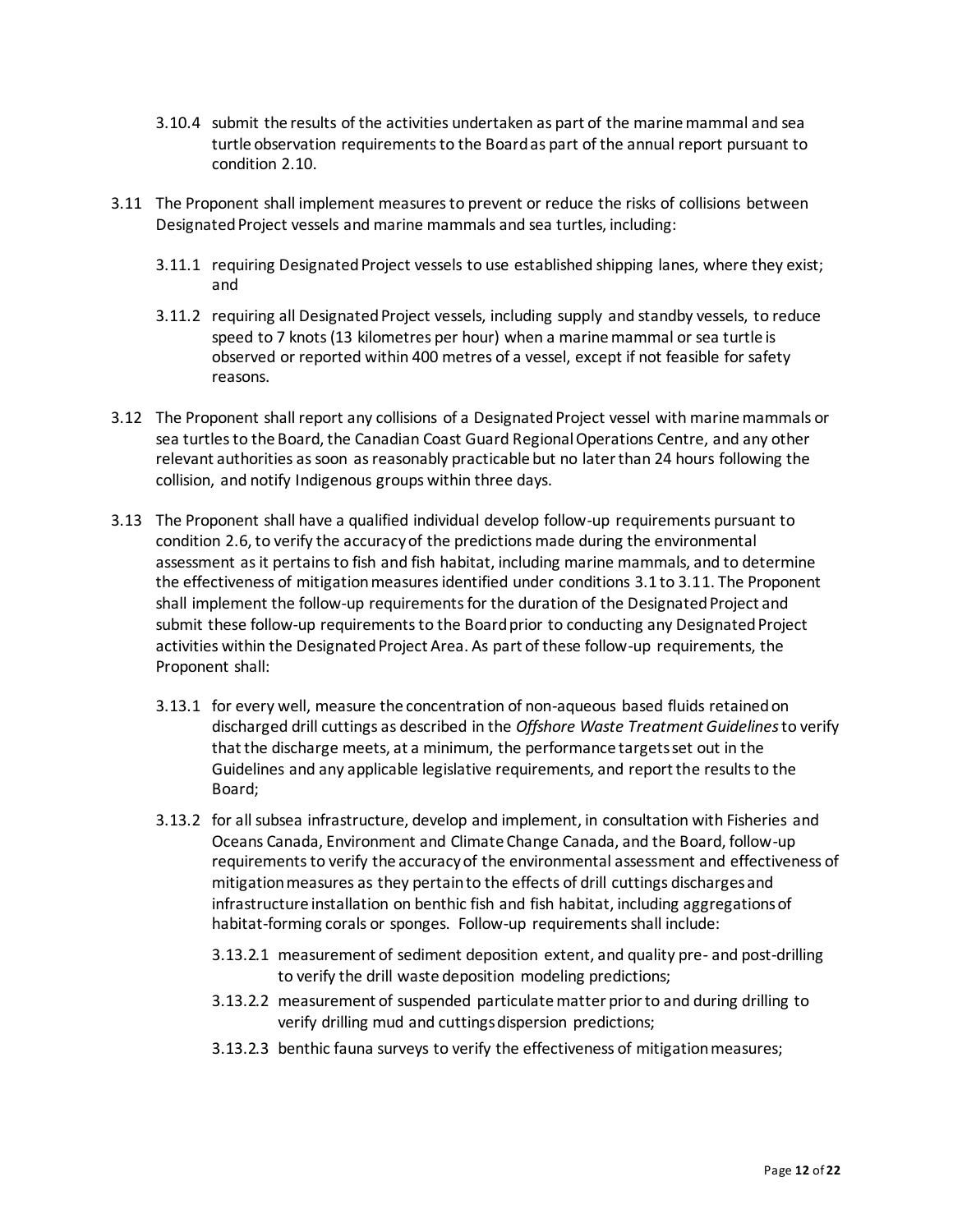- 3.10.4 submit the results of the activities undertaken as part of the marine mammal and sea turtle observation requirements to the Board as part of the annual report pursuant to condition 2.10.
- 3.11 The Proponent shall implement measures to prevent or reduce the risks of collisions between Designated Project vessels and marine mammals and sea turtles, including:
	- 3.11.1 requiring Designated Project vessels to use established shipping lanes, where they exist; and
	- 3.11.2 requiring all Designated Project vessels, including supply and standby vessels, to reduce speed to 7 knots (13 kilometres per hour) when a marine mammal or sea turtle is observed or reported within 400 metres of a vessel, except if not feasible for safety reasons.
- 3.12 The Proponent shall report any collisions of a Designated Project vessel with marine mammals or sea turtles to the Board, the Canadian Coast Guard Regional Operations Centre, and any other relevant authorities as soon as reasonably practicable but no later than 24 hours following the collision, and notify Indigenous groups within three days.
- 3.13 The Proponent shall have a qualified individual develop follow-up requirements pursuant to condition 2.6, to verify the accuracy of the predictions made during the environmental assessment as it pertains to fish and fish habitat, including marine mammals, and to determine the effectiveness of mitigation measures identified under conditions 3.1 to 3.11. The Proponent shall implement the follow-up requirements for the duration of the Designated Project and submit these follow-up requirements to the Board prior to conducting any Designated Project activities within the Designated Project Area. As part of these follow-up requirements, the Proponent shall:
	- 3.13.1 for every well, measure the concentration of non-aqueous based fluids retained on discharged drill cuttings as described in the *Offshore Waste Treatment Guidelines* to verify that the discharge meets, at a minimum, the performance targets set out in the Guidelines and any applicable legislative requirements, and report the results to the Board;
	- 3.13.2 for all subsea infrastructure, develop and implement, in consultation with Fisheries and Oceans Canada, Environment and Climate Change Canada, and the Board, follow-up requirements to verify the accuracy of the environmental assessment and effectiveness of mitigation measures as they pertain to the effects of drill cuttings discharges and infrastructure installation on benthic fish and fish habitat, including aggregations of habitat-forming corals or sponges. Follow-up requirements shall include:
		- 3.13.2.1 measurement of sediment deposition extent, and quality pre- and post-drilling to verify the drill waste deposition modeling predictions;
		- 3.13.2.2 measurement of suspended particulate matter prior to and during drilling to verify drilling mud and cuttings dispersion predictions;
		- 3.13.2.3 benthic fauna surveys to verify the effectiveness of mitigation measures;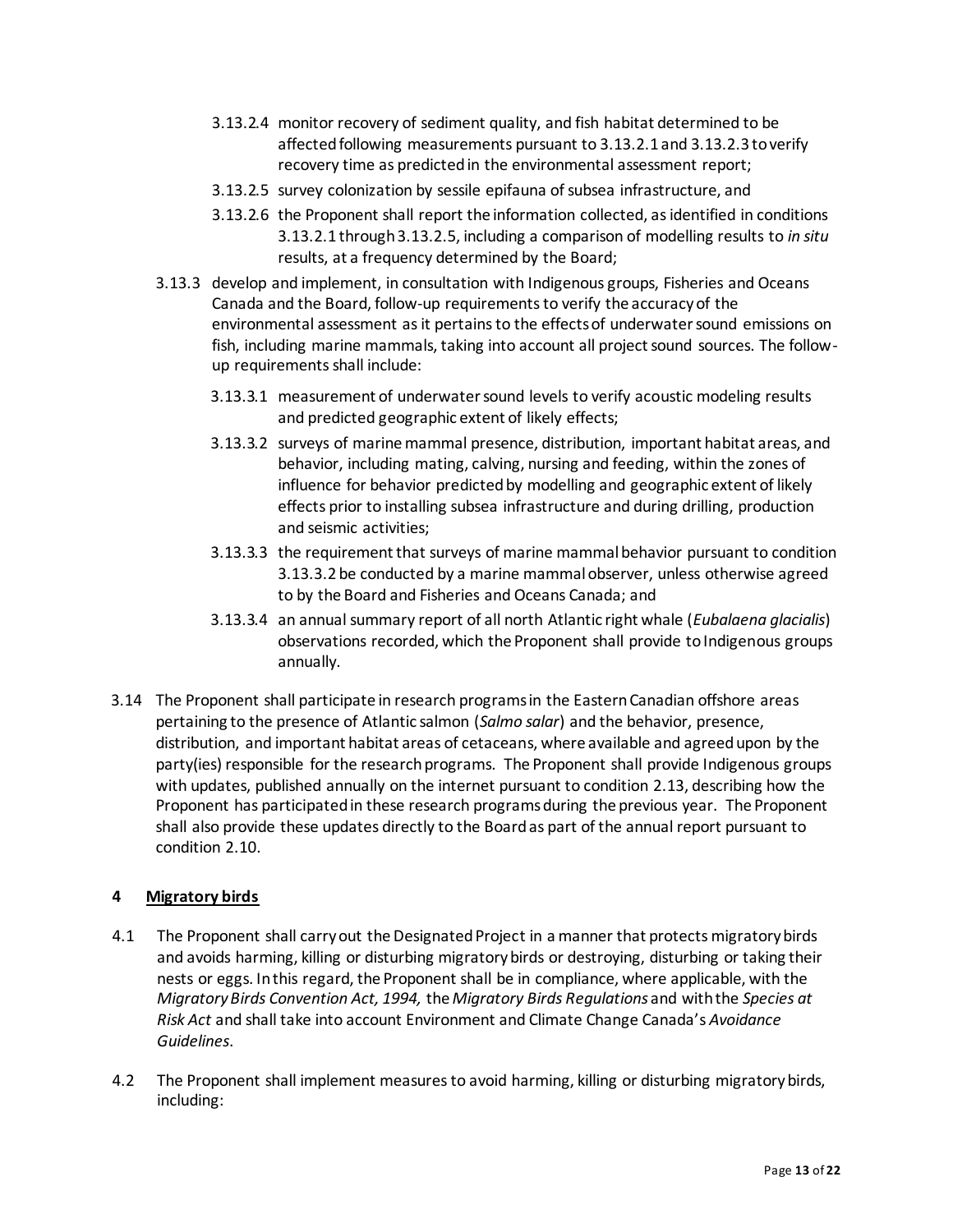- 3.13.2.4 monitor recovery of sediment quality, and fish habitat determined to be affected following measurements pursuant to 3.13.2.1 and 3.13.2.3 to verify recovery time as predicted in the environmental assessment report;
- 3.13.2.5 survey colonization by sessile epifauna of subsea infrastructure, and
- 3.13.2.6 the Proponent shall report the information collected, as identified in conditions 3.13.2.1 through 3.13.2.5, including a comparison of modelling results to *in situ* results, at a frequency determined by the Board;
- 3.13.3 develop and implement, in consultation with Indigenous groups, Fisheries and Oceans Canada and the Board, follow-up requirements to verify the accuracy of the environmental assessment as it pertains to the effects of underwater sound emissions on fish, including marine mammals, taking into account all project sound sources. The followup requirements shall include:
	- 3.13.3.1 measurement of underwater sound levels to verify acoustic modeling results and predicted geographic extent of likely effects;
	- 3.13.3.2 surveys of marine mammal presence, distribution, important habitat areas, and behavior, including mating, calving, nursing and feeding, within the zones of influence for behavior predicted by modelling and geographic extent of likely effects prior to installing subsea infrastructure and during drilling, production and seismic activities;
	- 3.13.3.3 the requirement that surveys of marine mammal behavior pursuant to condition 3.13.3.2 be conducted by a marine mammal observer, unless otherwise agreed to by the Board and Fisheries and Oceans Canada; and
	- 3.13.3.4 an annual summary report of all north Atlantic right whale (*Eubalaena glacialis*) observations recorded, which the Proponent shall provide to Indigenous groups annually.
- 3.14 The Proponent shall participate in research programs in the Eastern Canadian offshore areas pertaining to the presence of Atlantic salmon (*Salmo salar*) and the behavior, presence, distribution, and important habitat areas of cetaceans, where available and agreed upon by the party(ies) responsible for the research programs. The Proponent shall provide Indigenous groups with updates, published annually on the internet pursuant to condition 2.13, describing how the Proponent has participated in these research programs during the previous year. The Proponent shall also provide these updates directly to the Board as part of the annual report pursuant to condition 2.10.

# **4 Migratory birds**

- 4.1 The Proponent shall carry out the Designated Project in a manner that protects migratory birds and avoids harming, killing or disturbing migratory birds or destroying, disturbing or taking their nests or eggs. In this regard, the Proponent shall be in compliance, where applicable, with the *Migratory Birds Convention Act, 1994,* the *Migratory Birds Regulations* and with the *Species at Risk Act* and shall take into account Environment and Climate Change Canada's *Avoidance Guidelines*.
- 4.2 The Proponent shall implement measures to avoid harming, killing or disturbing migratory birds, including: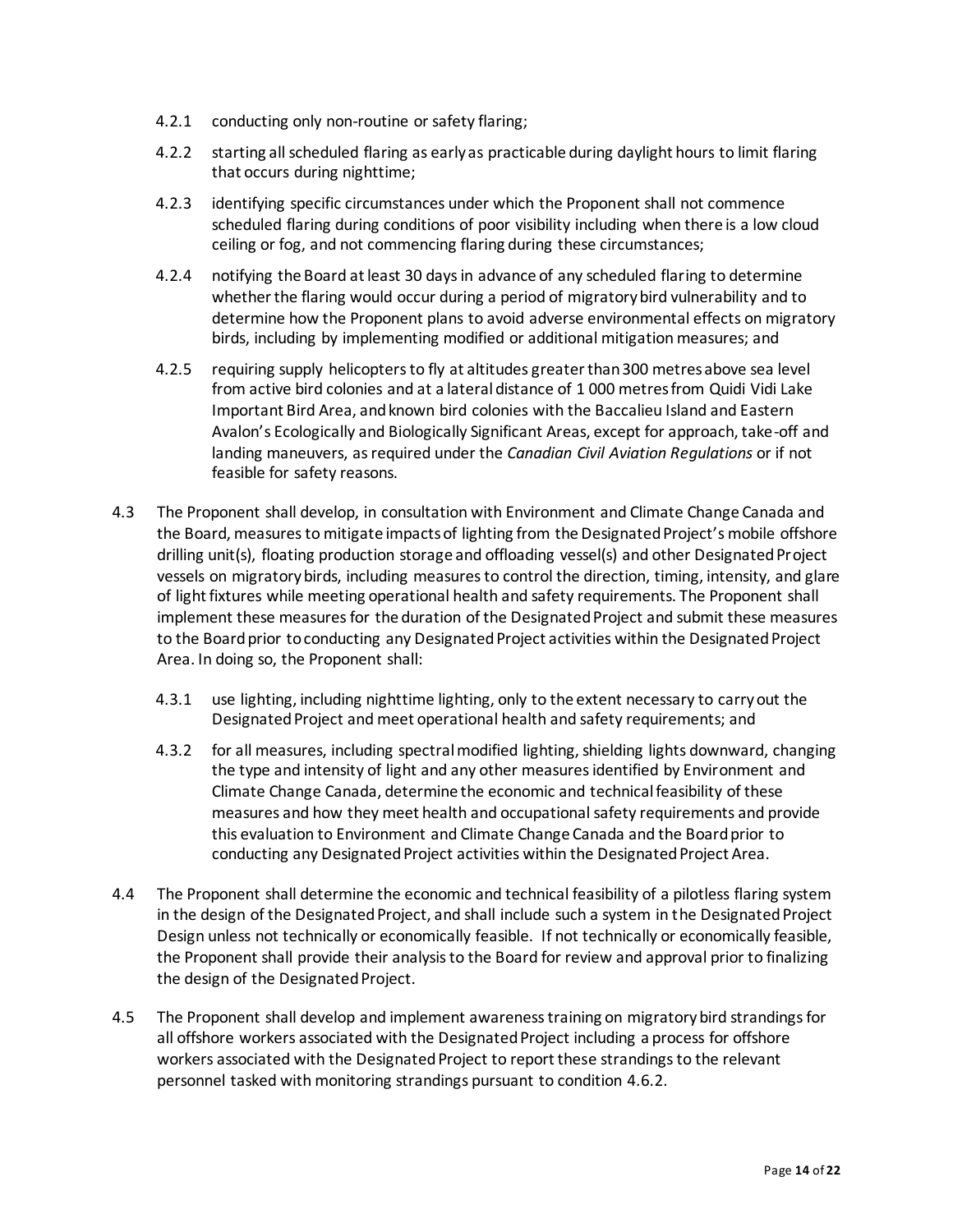- 4.2.1 conducting only non-routine or safety flaring;
- 4.2.2 starting all scheduled flaring as early as practicable during daylight hours to limit flaring that occurs during nighttime;
- 4.2.3 identifying specific circumstances under which the Proponent shall not commence scheduled flaring during conditions of poor visibility including when there is a low cloud ceiling or fog, and not commencing flaring during these circumstances;
- 4.2.4 notifying the Board at least 30 days in advance of any scheduled flaring to determine whether the flaring would occur during a period of migratory bird vulnerability and to determine how the Proponent plans to avoid adverse environmental effects on migratory birds, including by implementing modified or additional mitigation measures; and
- 4.2.5 requiring supply helicopters to fly at altitudes greater than 300 metres above sea level from active bird colonies and at a lateral distance of 1 000 metres from Quidi Vidi Lake Important Bird Area, and known bird colonies with the Baccalieu Island and Eastern Avalon's Ecologically and Biologically Significant Areas, except for approach, take-off and landing maneuvers, as required under the *Canadian Civil Aviation Regulations* or if not feasible for safety reasons.
- 4.3 The Proponent shall develop, in consultation with Environment and Climate Change Canada and the Board, measures to mitigate impacts of lighting from the Designated Project's mobile offshore drilling unit(s), floating production storage and offloading vessel(s) and other Designated Project vessels on migratory birds, including measures to control the direction, timing, intensity, and glare of light fixtures while meeting operational health and safety requirements. The Proponent shall implement these measures for the duration of the Designated Project and submit these measures to the Board prior to conducting any Designated Project activities within the Designated Project Area. In doing so, the Proponent shall:
	- 4.3.1 use lighting, including nighttime lighting, only to the extent necessary to carry out the Designated Project and meet operational health and safety requirements; and
	- 4.3.2 for all measures, including spectral modified lighting, shielding lights downward, changing the type and intensity of light and any other measures identified by Environment and Climate Change Canada, determine the economic and technical feasibility of these measures and how they meet health and occupational safety requirements and provide this evaluation to Environment and Climate Change Canada and the Board prior to conducting any Designated Project activities within the Designated Project Area.
- 4.4 The Proponent shall determine the economic and technical feasibility of a pilotless flaring system in the design of the Designated Project, and shall include such a system in the Designated Project Design unless not technically or economically feasible. If not technically or economically feasible, the Proponent shall provide their analysis to the Board for review and approval prior to finalizing the design of the Designated Project.
- 4.5 The Proponent shall develop and implement awareness training on migratory bird strandings for all offshore workers associated with the Designated Project including a process for offshore workers associated with the Designated Project to report these strandings to the relevant personnel tasked with monitoring strandings pursuant to condition 4.6.2.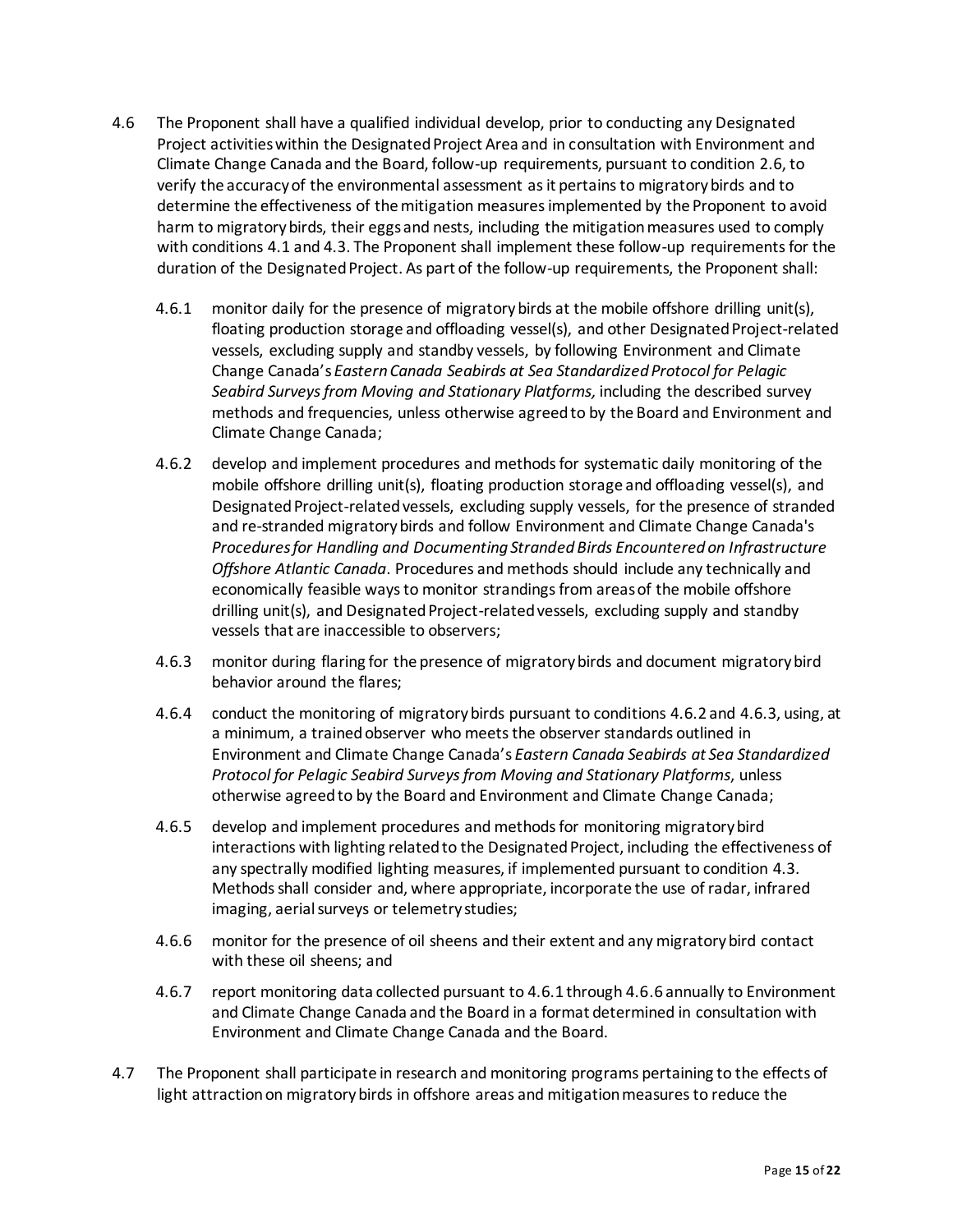- 4.6 The Proponent shall have a qualified individual develop, prior to conducting any Designated Project activities within the Designated Project Area and in consultation with Environment and Climate Change Canada and the Board, follow-up requirements, pursuant to condition 2.6, to verify the accuracy of the environmental assessment as it pertains to migratory birds and to determine the effectiveness of the mitigation measures implemented by the Proponent to avoid harm to migratory birds, their eggs and nests, including the mitigation measures used to comply with conditions 4.1 and 4.3. The Proponent shall implement these follow-up requirements for the duration of the Designated Project. As part of the follow-up requirements, the Proponent shall:
	- 4.6.1 monitor daily for the presence of migratory birds at the mobile offshore drilling unit(s), floating production storage and offloading vessel(s), and other Designated Project-related vessels, excluding supply and standby vessels, by following Environment and Climate Change Canada's *Eastern Canada Seabirds at Sea Standardized Protocol for Pelagic Seabird Surveys from Moving and Stationary Platforms,* including the described survey methods and frequencies, unless otherwise agreed to by the Board and Environment and Climate Change Canada;
	- 4.6.2 develop and implement procedures and methods for systematic daily monitoring of the mobile offshore drilling unit(s), floating production storage and offloading vessel(s), and Designated Project-related vessels, excluding supply vessels, for the presence of stranded and re-stranded migratory birds and follow Environment and Climate Change Canada's *Procedures for Handling and Documenting Stranded Birds Encountered on Infrastructure Offshore Atlantic Canada*. Procedures and methods should include any technically and economically feasible ways to monitor strandings from areas of the mobile offshore drilling unit(s), and Designated Project-related vessels, excluding supply and standby vessels that are inaccessible to observers;
	- 4.6.3 monitor during flaring for the presence of migratory birds and document migratory bird behavior around the flares;
	- 4.6.4 conduct the monitoring of migratory birds pursuant to conditions 4.6.2 and 4.6.3, using, at a minimum, a trained observer who meets the observer standards outlined in Environment and Climate Change Canada's *Eastern Canada Seabirds at Sea Standardized Protocol for Pelagic Seabird Surveys from Moving and Stationary Platforms*, unless otherwise agreed to by the Board and Environment and Climate Change Canada;
	- 4.6.5 develop and implement procedures and methods for monitoring migratory bird interactions with lighting related to the Designated Project, including the effectiveness of any spectrally modified lighting measures, if implemented pursuant to condition 4.3. Methods shall consider and, where appropriate, incorporate the use of radar, infrared imaging, aerial surveys or telemetry studies;
	- 4.6.6 monitor for the presence of oil sheens and their extent and any migratory bird contact with these oil sheens; and
	- 4.6.7 report monitoring data collected pursuant to 4.6.1 through 4.6.6 annually to Environment and Climate Change Canada and the Board in a format determined in consultation with Environment and Climate Change Canada and the Board.
- 4.7 The Proponent shall participate in research and monitoring programs pertaining to the effects of light attraction on migratory birds in offshore areas and mitigation measures to reduce the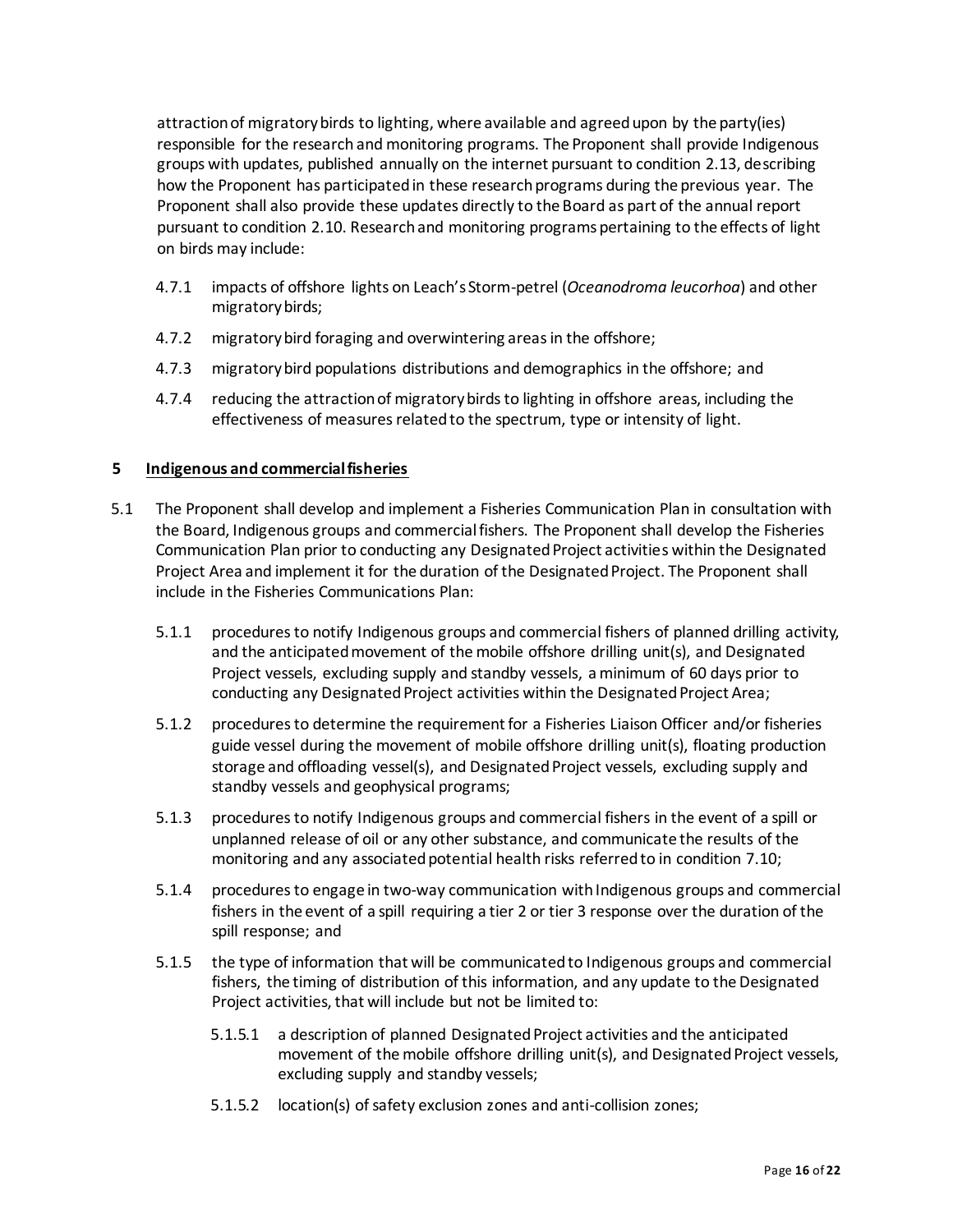attraction of migratory birds to lighting, where available and agreed upon by the party(ies) responsible for the research and monitoring programs. The Proponent shall provide Indigenous groups with updates, published annually on the internet pursuant to condition 2.13, describing how the Proponent has participated in these research programs during the previous year. The Proponent shall also provide these updates directly to the Board as part of the annual report pursuant to condition 2.10. Research and monitoring programs pertaining to the effects of light on birds may include:

- 4.7.1 impacts of offshore lights on Leach's Storm-petrel (*Oceanodroma leucorhoa*) and other migratory birds;
- 4.7.2 migratory bird foraging and overwintering areas in the offshore;
- 4.7.3 migratory bird populations distributions and demographics in the offshore; and
- 4.7.4 reducing the attraction of migratory birds to lighting in offshore areas, including the effectiveness of measures related to the spectrum, type or intensity of light.

### **5 Indigenous and commercial fisheries**

- 5.1 The Proponent shall develop and implement a Fisheries Communication Plan in consultation with the Board, Indigenous groups and commercial fishers. The Proponent shall develop the Fisheries Communication Plan prior to conducting any Designated Project activities within the Designated Project Area and implement it for the duration of the Designated Project. The Proponent shall include in the Fisheries Communications Plan:
	- 5.1.1 procedures to notify Indigenous groups and commercial fishers of planned drilling activity, and the anticipated movement of the mobile offshore drilling unit(s), and Designated Project vessels, excluding supply and standby vessels, a minimum of 60 days prior to conducting any Designated Project activities within the Designated Project Area;
	- 5.1.2 procedures to determine the requirement for a Fisheries Liaison Officer and/or fisheries guide vessel during the movement of mobile offshore drilling unit(s), floating production storage and offloading vessel(s), and Designated Project vessels, excluding supply and standby vessels and geophysical programs;
	- 5.1.3 procedures to notify Indigenous groups and commercial fishers in the event of a spill or unplanned release of oil or any other substance, and communicate the results of the monitoring and any associated potential health risks referred to in condition 7.10;
	- 5.1.4 procedures to engage in two-way communication with Indigenous groups and commercial fishers in the event of a spill requiring a tier 2 or tier 3 response over the duration of the spill response; and
	- 5.1.5 the type of information that will be communicated to Indigenous groups and commercial fishers, the timing of distribution of this information, and any update to the Designated Project activities, that will include but not be limited to:
		- 5.1.5.1 a description of planned Designated Project activities and the anticipated movement of the mobile offshore drilling unit(s), and Designated Project vessels, excluding supply and standby vessels;
		- 5.1.5.2 location(s) of safety exclusion zones and anti-collision zones;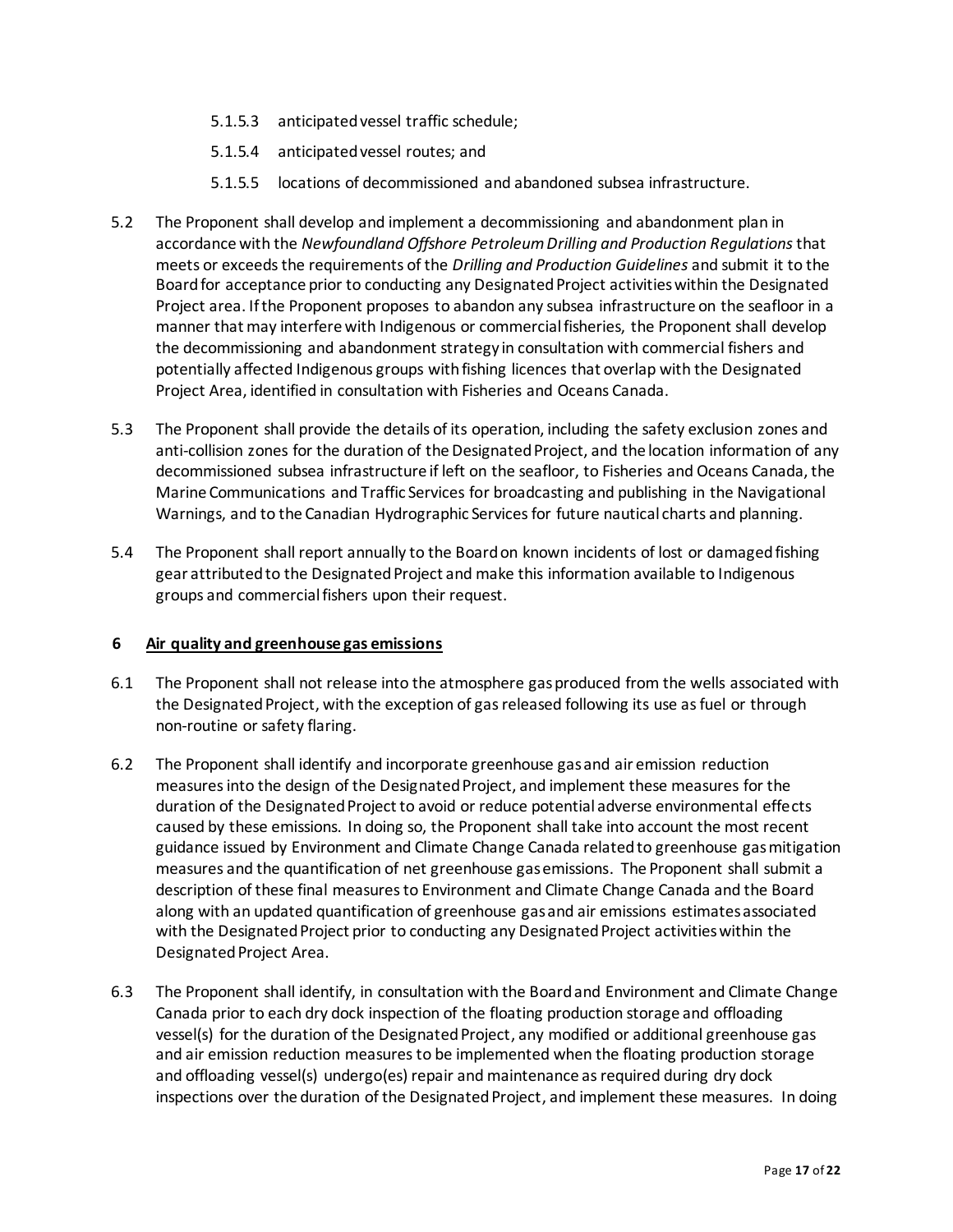- 5.1.5.3 anticipated vessel traffic schedule;
- 5.1.5.4 anticipated vessel routes; and
- 5.1.5.5 locations of decommissioned and abandoned subsea infrastructure.
- 5.2 The Proponent shall develop and implement a decommissioning and abandonment plan in accordance with the *Newfoundland Offshore Petroleum Drilling and Production Regulations* that meets or exceeds the requirements of the *Drilling and Production Guidelines* and submit it to the Board for acceptance prior to conducting any Designated Project activities within the Designated Project area. If the Proponent proposes to abandon any subsea infrastructure on the seafloor in a manner that may interfere with Indigenous or commercial fisheries, the Proponent shall develop the decommissioning and abandonment strategy in consultation with commercial fishers and potentially affected Indigenous groups with fishing licences that overlap with the Designated Project Area, identified in consultation with Fisheries and Oceans Canada.
- 5.3 The Proponent shall provide the details of its operation, including the safety exclusion zones and anti-collision zones for the duration of the Designated Project, and the location information of any decommissioned subsea infrastructure if left on the seafloor, to Fisheries and Oceans Canada, the Marine Communications and Traffic Services for broadcasting and publishing in the Navigational Warnings, and to the Canadian Hydrographic Services for future nautical charts and planning.
- 5.4 The Proponent shall report annually to the Board on known incidents of lost or damaged fishing gear attributed to the Designated Project and make this information available to Indigenous groups and commercial fishers upon their request.

#### **6 Air quality and greenhouse gas emissions**

- 6.1 The Proponent shall not release into the atmosphere gas produced from the wells associated with the Designated Project, with the exception of gas released following its use as fuel or through non-routine or safety flaring.
- 6.2 The Proponent shall identify and incorporate greenhouse gas and air emission reduction measures into the design of the Designated Project, and implement these measures for the duration of the Designated Project to avoid or reduce potential adverse environmental effects caused by these emissions. In doing so, the Proponent shall take into account the most recent guidance issued by Environment and Climate Change Canada related to greenhouse gas mitigation measures and the quantification of net greenhouse gas emissions. The Proponent shall submit a description of these final measures to Environment and Climate Change Canada and the Board along with an updated quantification of greenhouse gas and air emissions estimates associated with the Designated Project prior to conducting any Designated Project activities within the Designated Project Area.
- 6.3 The Proponent shall identify, in consultation with the Board and Environment and Climate Change Canada prior to each dry dock inspection of the floating production storage and offloading vessel(s) for the duration of the Designated Project, any modified or additional greenhouse gas and air emission reduction measures to be implemented when the floating production storage and offloading vessel(s) undergo(es) repair and maintenance as required during dry dock inspections over the duration of the Designated Project, and implement these measures. In doing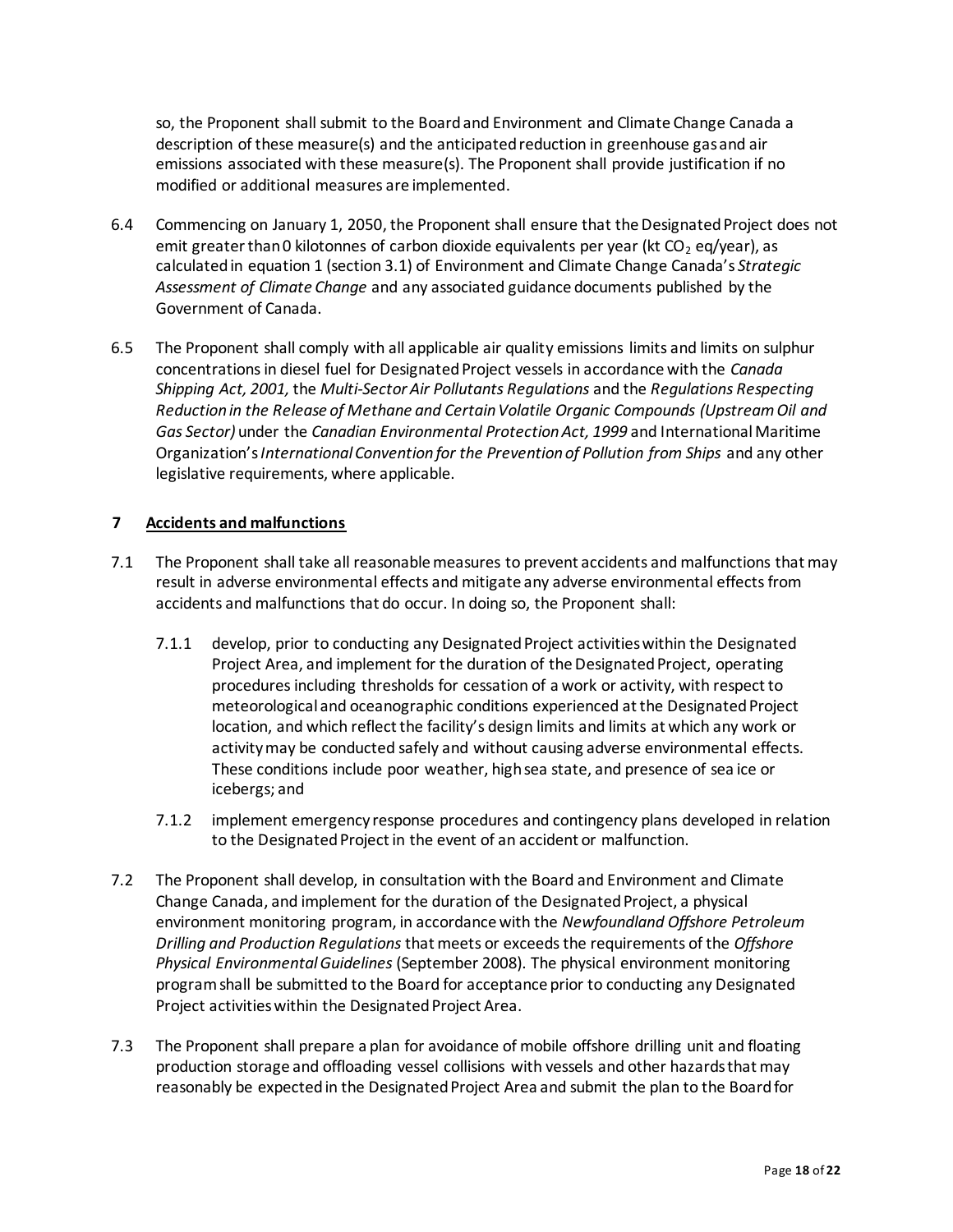so, the Proponent shall submit to the Board and Environment and Climate Change Canada a description of these measure(s) and the anticipated reduction in greenhouse gas and air emissions associated with these measure(s). The Proponent shall provide justification if no modified or additional measures are implemented.

- 6.4 Commencing on January 1, 2050, the Proponent shall ensure that the Designated Project does not emit greater than 0 kilotonnes of carbon dioxide equivalents per year (kt  $CO<sub>2</sub>$  eq/year), as calculated in equation 1 (section 3.1) of Environment and Climate Change Canada's *Strategic Assessment of Climate Change* and any associated guidance documents published by the Government of Canada.
- 6.5 The Proponent shall comply with all applicable air quality emissions limits and limits on sulphur concentrations in diesel fuel for Designated Project vessels in accordance with the *Canada Shipping Act, 2001,* the *Multi-Sector Air Pollutants Regulations* and the *Regulations Respecting Reduction in the Release of Methane and Certain Volatile Organic Compounds (Upstream Oil and Gas Sector)* under the *Canadian Environmental Protection Act, 1999* and International Maritime Organization's *International Convention for the Prevention of Pollution from Ships* and any other legislative requirements, where applicable.

## **7 Accidents and malfunctions**

- 7.1 The Proponent shall take all reasonable measures to prevent accidents and malfunctions that may result in adverse environmental effects and mitigate any adverse environmental effects from accidents and malfunctions that do occur. In doing so, the Proponent shall:
	- 7.1.1 develop, prior to conducting any Designated Project activities within the Designated Project Area, and implement for the duration of the Designated Project, operating proceduresincluding thresholds for cessation of a work or activity, with respect to meteorological and oceanographic conditions experienced at the Designated Project location, and which reflect the facility's design limits and limits at which any work or activity may be conducted safely and without causing adverse environmental effects. These conditions include poor weather, high sea state, and presence of sea ice or icebergs; and
	- 7.1.2 implement emergency response procedures and contingency plans developed in relation to the Designated Project in the event of an accident or malfunction.
- 7.2 The Proponent shall develop, in consultation with the Board and Environment and Climate Change Canada, and implement for the duration of the Designated Project, a physical environment monitoring program, in accordance with the *Newfoundland Offshore Petroleum Drilling and Production Regulations* that meets or exceeds the requirements of the *Offshore Physical Environmental Guidelines* (September 2008). The physical environment monitoring program shall be submitted to the Board for acceptance prior to conducting any Designated Project activities within the Designated Project Area.
- 7.3 The Proponent shall prepare a plan for avoidance of mobile offshore drilling unit and floating production storage and offloading vessel collisions with vessels and other hazards that may reasonably be expected in the Designated Project Area and submit the plan to the Board for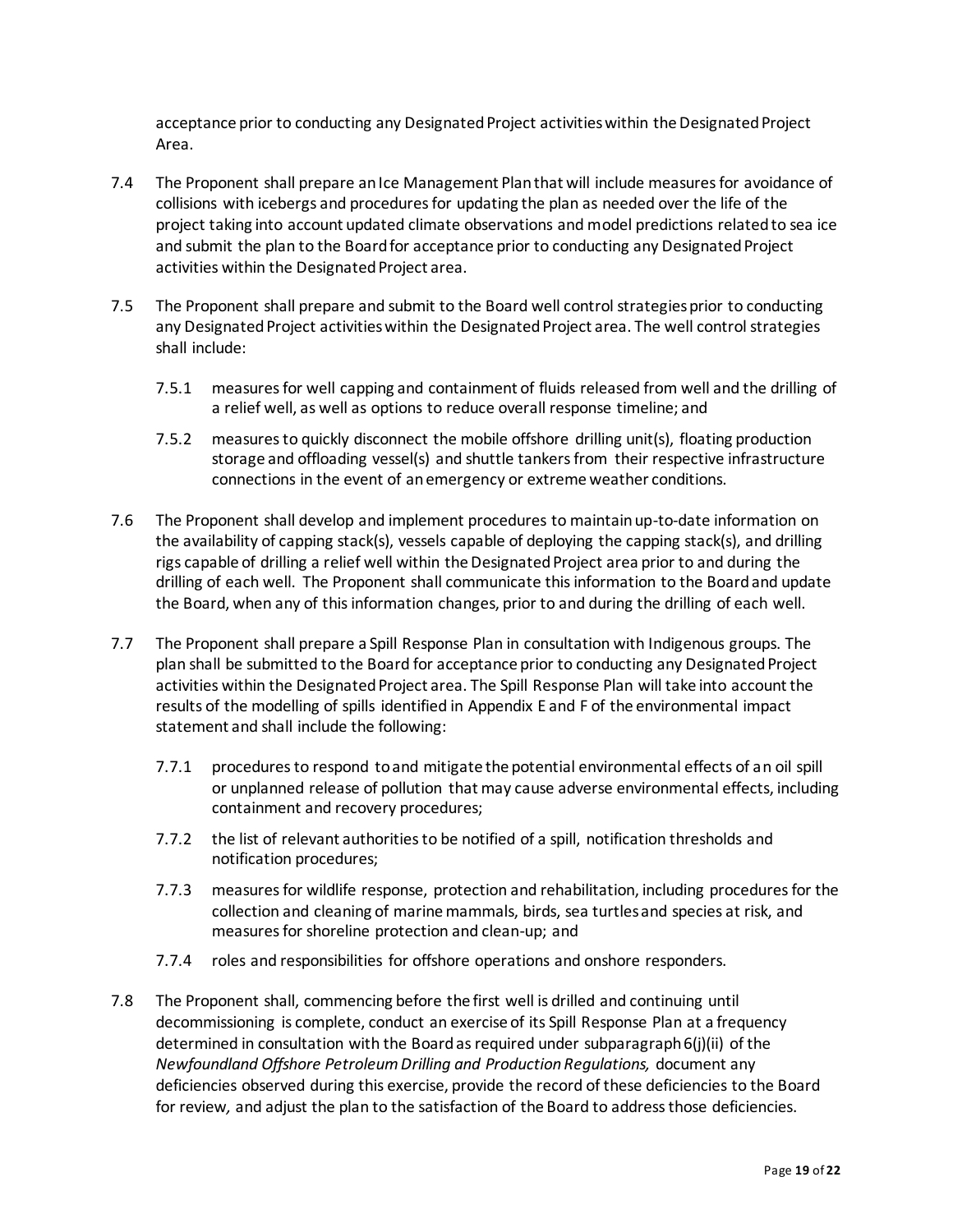acceptance prior to conducting any Designated Project activities within the Designated Project Area.

- 7.4 The Proponent shall prepare an Ice Management Plan that will include measures for avoidance of collisions with icebergs and procedures for updating the plan as needed over the life of the project taking into account updated climate observations and model predictions related to sea ice and submit the plan to the Board for acceptance prior to conducting any Designated Project activities within the Designated Project area.
- 7.5 The Proponent shall prepare and submit to the Board well control strategies prior to conducting any Designated Project activities within the Designated Project area. The well control strategies shall include:
	- 7.5.1 measures for well capping and containment of fluids released from well and the drilling of a relief well, as well as options to reduce overall response timeline; and
	- 7.5.2 measures to quickly disconnect the mobile offshore drilling unit(s), floating production storage and offloading vessel(s) and shuttle tankers from their respective infrastructure connections in the event of an emergency or extreme weather conditions.
- 7.6 The Proponent shall develop and implement procedures to maintain up-to-date information on the availability of capping stack(s), vessels capable of deploying the capping stack(s), and drilling rigs capable of drilling a relief well within the Designated Project area prior to and during the drilling of each well. The Proponent shall communicate this information to the Board and update the Board, when any of this information changes, prior to and during the drilling of each well.
- 7.7 The Proponent shall prepare a Spill Response Plan in consultation with Indigenous groups. The plan shall be submitted to the Board for acceptance prior to conducting any Designated Project activities within the Designated Project area. The Spill Response Plan will take into account the results of the modelling of spills identified in Appendix E and F of the environmental impact statement and shall include the following:
	- 7.7.1 procedures to respond to and mitigate the potential environmental effects of an oil spill or unplanned release of pollution that may cause adverse environmental effects, including containment and recovery procedures;
	- 7.7.2 the list of relevant authorities to be notified of a spill, notification thresholds and notification procedures;
	- 7.7.3 measures for wildlife response, protection and rehabilitation, including procedures for the collection and cleaning of marine mammals, birds, sea turtles and species at risk, and measures for shoreline protection and clean-up; and
	- 7.7.4 roles and responsibilities for offshore operations and onshore responders.
- 7.8 The Proponent shall, commencing before the first well is drilled and continuing until decommissioning is complete, conduct an exercise of its Spill Response Plan at a frequency determined in consultation with the Board as required under subparagraph 6(j)(ii) of the *Newfoundland Offshore Petroleum Drilling and Production Regulations,* document any deficiencies observed during this exercise, provide the record of these deficiencies to the Board for review*,* and adjust the plan to the satisfaction of the Board to address those deficiencies.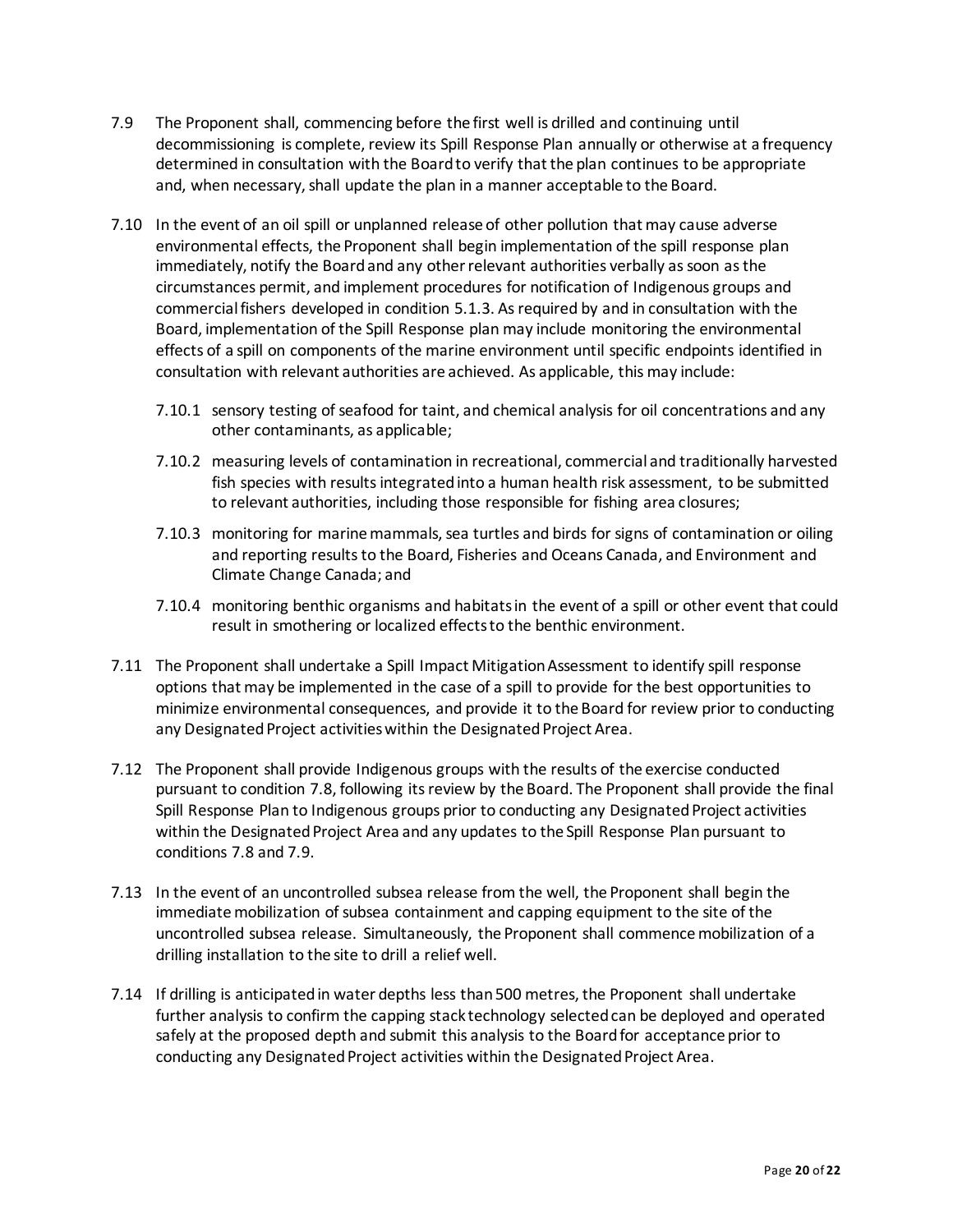- 7.9 The Proponent shall, commencing before the first well is drilled and continuing until decommissioning is complete, review its Spill Response Plan annually or otherwise at a frequency determined in consultation with the Board to verify that the plan continues to be appropriate and, when necessary, shall update the plan in a manner acceptable to the Board.
- 7.10 In the event of an oil spill or unplanned release of other pollution that may cause adverse environmental effects, the Proponent shall begin implementation of the spill response plan immediately, notify the Board and any other relevant authorities verbally as soon as the circumstances permit, and implement procedures for notification of Indigenous groups and commercial fishers developed in condition 5.1.3. As required by and in consultation with the Board, implementation of the Spill Response plan may include monitoring the environmental effects of a spill on components of the marine environment until specific endpoints identified in consultation with relevant authorities are achieved. As applicable, this may include:
	- 7.10.1 sensory testing of seafood for taint, and chemical analysis for oil concentrations and any other contaminants, as applicable;
	- 7.10.2 measuring levels of contamination in recreational, commercial and traditionally harvested fish species with results integrated into a human health risk assessment, to be submitted to relevant authorities, including those responsible for fishing area closures;
	- 7.10.3 monitoring for marine mammals, sea turtles and birds for signs of contamination or oiling and reporting results to the Board, Fisheries and Oceans Canada, and Environment and Climate Change Canada; and
	- 7.10.4 monitoring benthic organisms and habitats in the event of a spill or other event that could result in smothering or localized effects to the benthic environment.
- 7.11 The Proponent shall undertake a Spill Impact Mitigation Assessment to identify spill response options that may be implemented in the case of a spill to provide for the best opportunities to minimize environmental consequences, and provide it to the Board for review prior to conducting any Designated Project activities within the Designated Project Area.
- 7.12 The Proponent shall provide Indigenous groups with the results of the exercise conducted pursuant to condition 7.8, following its review by the Board. The Proponent shall provide the final Spill Response Plan to Indigenous groups prior to conducting any Designated Project activities within the Designated Project Area and any updates to the Spill Response Plan pursuant to conditions 7.8 and 7.9.
- 7.13 In the event of an uncontrolled subsea release from the well, the Proponent shall begin the immediate mobilization of subsea containment and capping equipment to the site of the uncontrolled subsea release. Simultaneously, the Proponent shall commence mobilization of a drilling installation to the site to drill a relief well.
- 7.14 If drilling is anticipated in water depths less than 500 metres, the Proponent shall undertake further analysis to confirm the capping stack technology selected can be deployed and operated safely at the proposed depth and submit this analysis to the Board for acceptance prior to conducting any Designated Project activities within the Designated Project Area.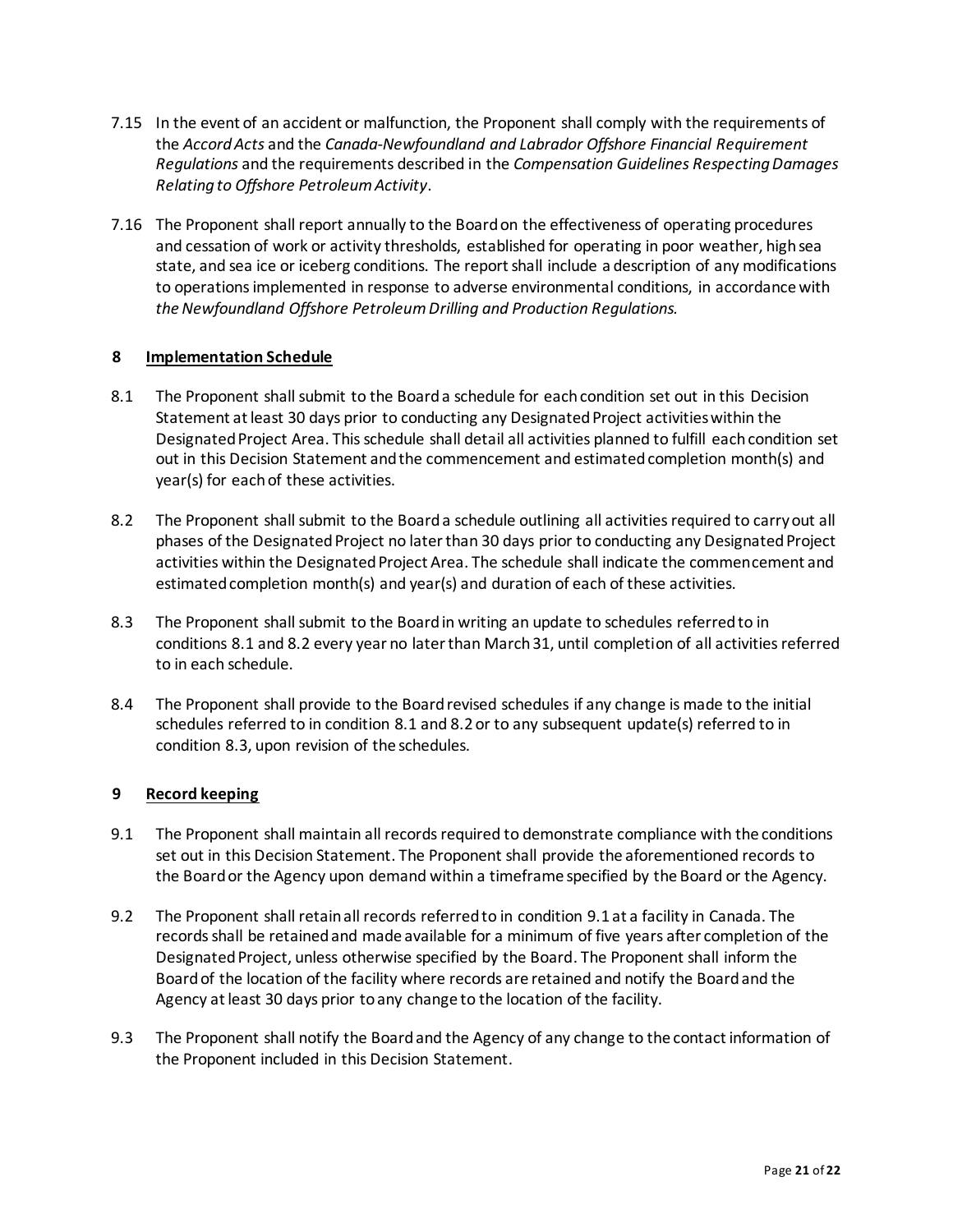- 7.15 In the event of an accident or malfunction, the Proponent shall comply with the requirements of the *Accord Acts* and the *Canada-Newfoundland and Labrador Offshore Financial Requirement Regulations* and the requirements described in the *Compensation Guidelines Respecting Damages Relating to Offshore Petroleum Activity*.
- 7.16 The Proponent shall report annually to the Board on the effectiveness of operating procedures and cessation of work or activity thresholds, established for operating in poor weather, high sea state, and sea ice or iceberg conditions. The report shall include a description of any modifications to operations implemented in response to adverse environmental conditions, in accordance with *the Newfoundland Offshore Petroleum Drilling and Production Regulations.*

### **8 Implementation Schedule**

- 8.1 The Proponent shall submit to the Board a schedule for each condition set out in this Decision Statement at least 30 days prior to conducting any Designated Project activities within the Designated Project Area. This schedule shall detail all activities planned to fulfill each condition set out in this Decision Statement and the commencement and estimated completion month(s) and year(s) for each of these activities.
- 8.2 The Proponent shall submit to the Board a schedule outlining all activities required to carry out all phases of the Designated Project no later than 30 days prior to conducting any Designated Project activities within the Designated Project Area. The schedule shall indicate the commencement and estimated completion month(s) and year(s) and duration of each of these activities.
- 8.3 The Proponent shall submit to the Board in writing an update to schedules referred to in conditions 8.1 and 8.2 every year no later than March 31, until completion of all activities referred to in each schedule.
- 8.4 The Proponent shall provide to the Board revised schedules if any change is made to the initial schedules referred to in condition 8.1 and 8.2 or to any subsequent update(s) referred to in condition 8.3, upon revision of the schedules.

# **9 Record keeping**

- 9.1 The Proponent shall maintain all records required to demonstrate compliance with the conditions set out in this Decision Statement. The Proponent shall provide the aforementioned records to the Board or the Agency upon demand within a timeframe specified by the Board or the Agency.
- 9.2 The Proponent shall retain all records referred to in condition 9.1 at a facility in Canada. The records shall be retained and made available for a minimum of five years after completion of the Designated Project, unless otherwise specified by the Board. The Proponent shall inform the Board of the location of the facility where records are retained and notify the Board and the Agency at least 30 days prior to any change to the location of the facility.
- 9.3 The Proponent shall notify the Board and the Agency of any change to the contact information of the Proponent included in this Decision Statement.